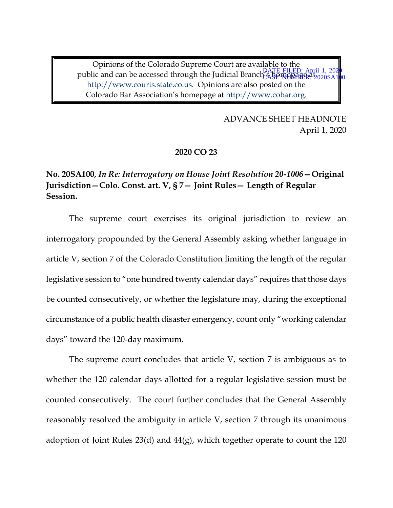Opinions of the Colorado Supreme Court are available to the public and can be accessed through the Judicial Branch & DATE FILED: April 1, 2020 http://www.courts.state.co.us. Opinions are also posted on the Colorado Bar Association's homepage at http://www.cobar.org. CASE NUMBER<sup>a</sup> 2020SA1<mark>0</mark>0

> ADVANCE SHEET HEADNOTE April 1, 2020

## **2020 CO 23**

# **No. 20SA100,** *In Re: Interrogatory on House Joint Resolution 20-1006***—Original Jurisdiction—Colo. Const. art. V, § 7— Joint Rules— Length of Regular Session.**

The supreme court exercises its original jurisdiction to review an interrogatory propounded by the General Assembly asking whether language in article V, section 7 of the Colorado Constitution limiting the length of the regular legislative session to "one hundred twenty calendar days" requires that those days be counted consecutively, or whether the legislature may, during the exceptional circumstance of a public health disaster emergency, count only "working calendar days" toward the 120-day maximum.

The supreme court concludes that article V, section 7 is ambiguous as to whether the 120 calendar days allotted for a regular legislative session must be counted consecutively. The court further concludes that the General Assembly reasonably resolved the ambiguity in article V, section 7 through its unanimous adoption of Joint Rules 23(d) and 44(g), which together operate to count the 120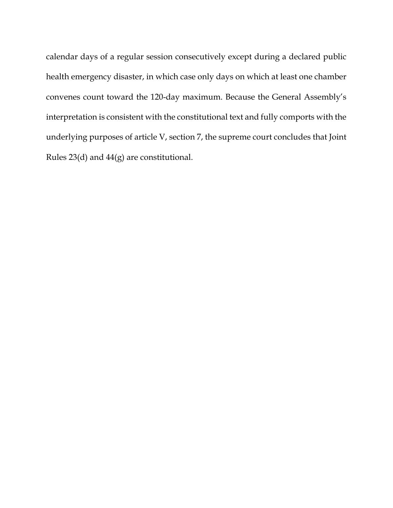calendar days of a regular session consecutively except during a declared public health emergency disaster, in which case only days on which at least one chamber convenes count toward the 120-day maximum. Because the General Assembly's interpretation is consistent with the constitutional text and fully comports with the underlying purposes of article V, section 7, the supreme court concludes that Joint Rules 23(d) and 44(g) are constitutional.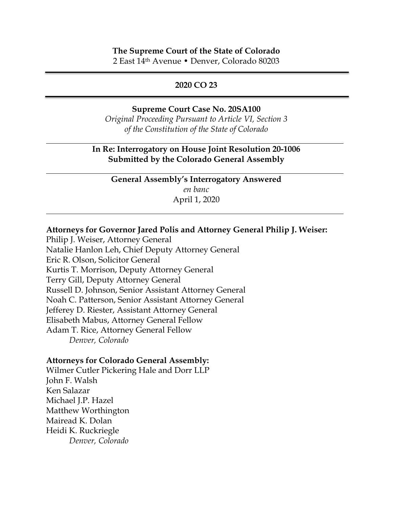## **The Supreme Court of the State of Colorado** 2 East 14th Avenue • Denver, Colorado 80203

#### **2020 CO 23**

#### **Supreme Court Case No. 20SA100**

*Original Proceeding Pursuant to Article VI, Section 3 of the Constitution of the State of Colorado*

## **In Re: Interrogatory on House Joint Resolution 20-1006 Submitted by the Colorado General Assembly**

**General Assembly's Interrogatory Answered**  *en banc* April 1, 2020

#### **Attorneys for Governor Jared Polis and Attorney General Philip J. Weiser:**

Philip J. Weiser, Attorney General Natalie Hanlon Leh, Chief Deputy Attorney General Eric R. Olson, Solicitor General Kurtis T. Morrison, Deputy Attorney General Terry Gill, Deputy Attorney General Russell D. Johnson, Senior Assistant Attorney General Noah C. Patterson, Senior Assistant Attorney General Jefferey D. Riester, Assistant Attorney General Elisabeth Mabus, Attorney General Fellow Adam T. Rice, Attorney General Fellow *Denver, Colorado*

#### **Attorneys for Colorado General Assembly:**

Wilmer Cutler Pickering Hale and Dorr LLP John F. Walsh Ken Salazar Michael J.P. Hazel Matthew Worthington Mairead K. Dolan Heidi K. Ruckriegle *Denver, Colorado*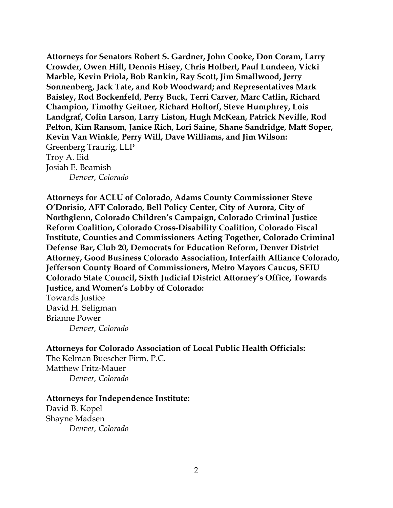**Attorneys for Senators Robert S. Gardner, John Cooke, Don Coram, Larry Crowder, Owen Hill, Dennis Hisey, Chris Holbert, Paul Lundeen, Vicki Marble, Kevin Priola, Bob Rankin, Ray Scott, Jim Smallwood, Jerry Sonnenberg, Jack Tate, and Rob Woodward; and Representatives Mark Baisley, Rod Bockenfeld, Perry Buck, Terri Carver, Marc Catlin, Richard Champion, Timothy Geitner, Richard Holtorf, Steve Humphrey, Lois Landgraf, Colin Larson, Larry Liston, Hugh McKean, Patrick Neville, Rod Pelton, Kim Ransom, Janice Rich, Lori Saine, Shane Sandridge, Matt Soper, Kevin Van Winkle, Perry Will, Dave Williams, and Jim Wilson:** Greenberg Traurig, LLP Troy A. Eid Josiah E. Beamish *Denver, Colorado*

**Attorneys for ACLU of Colorado, Adams County Commissioner Steve O'Dorisio, AFT Colorado, Bell Policy Center, City of Aurora, City of Northglenn, Colorado Children's Campaign, Colorado Criminal Justice Reform Coalition, Colorado Cross-Disability Coalition, Colorado Fiscal Institute, Counties and Commissioners Acting Together, Colorado Criminal Defense Bar, Club 20, Democrats for Education Reform, Denver District Attorney, Good Business Colorado Association, Interfaith Alliance Colorado, Jefferson County Board of Commissioners, Metro Mayors Caucus, SEIU Colorado State Council, Sixth Judicial District Attorney's Office, Towards Justice, and Women's Lobby of Colorado:**

Towards Justice David H. Seligman Brianne Power *Denver, Colorado*

**Attorneys for Colorado Association of Local Public Health Officials:** The Kelman Buescher Firm, P.C. Matthew Fritz-Mauer

*Denver, Colorado*

### **Attorneys for Independence Institute:**

David B. Kopel Shayne Madsen *Denver, Colorado*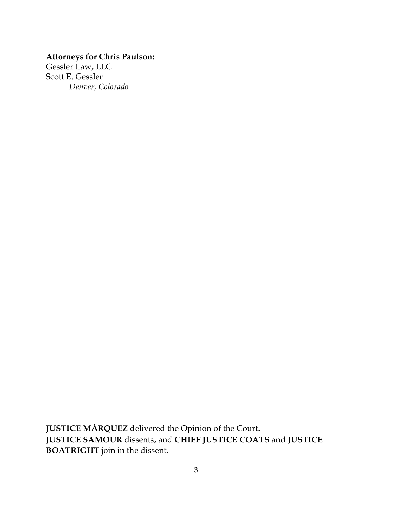# **Attorneys for Chris Paulson:**

Gessler Law, LLC Scott E. Gessler *Denver, Colorado*

**JUSTICE MÁRQUEZ** delivered the Opinion of the Court. **JUSTICE SAMOUR** dissents, and **CHIEF JUSTICE COATS** and **JUSTICE BOATRIGHT** join in the dissent.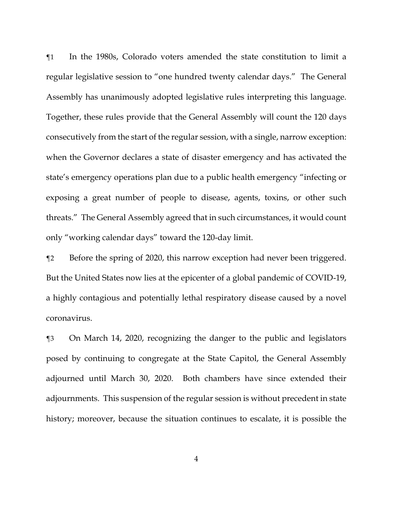¶1 In the 1980s, Colorado voters amended the state constitution to limit a regular legislative session to "one hundred twenty calendar days." The General Assembly has unanimously adopted legislative rules interpreting this language. Together, these rules provide that the General Assembly will count the 120 days consecutively from the start of the regular session, with a single, narrow exception: when the Governor declares a state of disaster emergency and has activated the state's emergency operations plan due to a public health emergency "infecting or exposing a great number of people to disease, agents, toxins, or other such threats." The General Assembly agreed that in such circumstances, it would count only "working calendar days" toward the 120-day limit.

¶2 Before the spring of 2020, this narrow exception had never been triggered. But the United States now lies at the epicenter of a global pandemic of COVID-19, a highly contagious and potentially lethal respiratory disease caused by a novel coronavirus.

¶3 On March 14, 2020, recognizing the danger to the public and legislators posed by continuing to congregate at the State Capitol, the General Assembly adjourned until March 30, 2020. Both chambers have since extended their adjournments. This suspension of the regular session is without precedent in state history; moreover, because the situation continues to escalate, it is possible the

4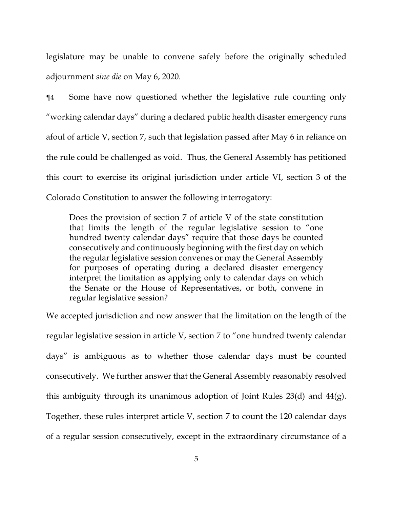legislature may be unable to convene safely before the originally scheduled adjournment *sine die* on May 6, 2020.

¶4 Some have now questioned whether the legislative rule counting only "working calendar days" during a declared public health disaster emergency runs afoul of article V, section 7, such that legislation passed after May 6 in reliance on the rule could be challenged as void. Thus, the General Assembly has petitioned this court to exercise its original jurisdiction under article VI, section 3 of the Colorado Constitution to answer the following interrogatory:

Does the provision of section 7 of article V of the state constitution that limits the length of the regular legislative session to "one hundred twenty calendar days" require that those days be counted consecutively and continuously beginning with the first day on which the regular legislative session convenes or may the General Assembly for purposes of operating during a declared disaster emergency interpret the limitation as applying only to calendar days on which the Senate or the House of Representatives, or both, convene in regular legislative session?

We accepted jurisdiction and now answer that the limitation on the length of the regular legislative session in article V, section 7 to "one hundred twenty calendar days" is ambiguous as to whether those calendar days must be counted consecutively. We further answer that the General Assembly reasonably resolved this ambiguity through its unanimous adoption of Joint Rules 23(d) and 44(g). Together, these rules interpret article V, section 7 to count the 120 calendar days of a regular session consecutively, except in the extraordinary circumstance of a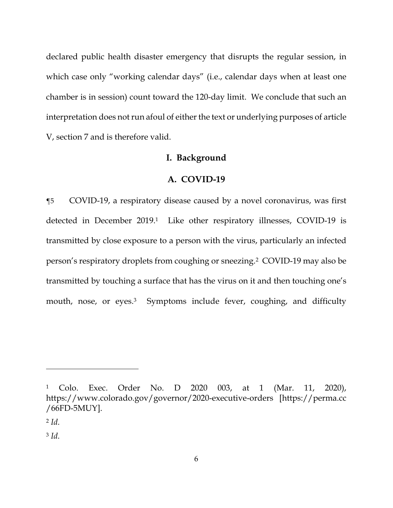declared public health disaster emergency that disrupts the regular session, in which case only "working calendar days" (i.e., calendar days when at least one chamber is in session) count toward the 120-day limit. We conclude that such an interpretation does not run afoul of either the text or underlying purposes of article V, section 7 and is therefore valid.

# **I. Background**

#### **A. COVID-19**

¶5 COVID-19, a respiratory disease caused by a novel coronavirus, was first detected in December 2019.<sup>1</sup> Like other respiratory illnesses, COVID-19 is transmitted by close exposure to a person with the virus, particularly an infected person's respiratory droplets from coughing or sneezing.2 COVID-19 may also be transmitted by touching a surface that has the virus on it and then touching one's mouth, nose, or eyes.<sup>3</sup> Symptoms include fever, coughing, and difficulty

<u>.</u>

<sup>1</sup> Colo. Exec. Order No. D 2020 003, at 1 (Mar. 11, 2020), https://www.colorado.gov/governor/2020-executive-orders [https://perma.cc /66FD-5MUY].

<sup>2</sup> *Id.*

<sup>3</sup> *Id.*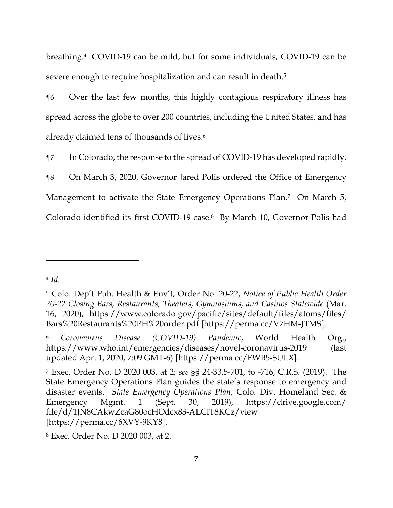breathing.4 COVID-19 can be mild, but for some individuals, COVID-19 can be severe enough to require hospitalization and can result in death.<sup>5</sup>

¶6 Over the last few months, this highly contagious respiratory illness has spread across the globe to over 200 countries, including the United States, and has already claimed tens of thousands of lives.6

¶7 In Colorado, the response to the spread of COVID-19 has developed rapidly.

¶8 On March 3, 2020, Governor Jared Polis ordered the Office of Emergency Management to activate the State Emergency Operations Plan.<sup>7</sup> On March 5, Colorado identified its first COVID-19 case.8 By March 10, Governor Polis had

<sup>4</sup> *Id.*

<sup>5</sup> Colo. Dep't Pub. Health & Env't, Order No. 20-22, *Notice of Public Health Order 20-22 Closing Bars, Restaurants, Theaters, Gymnasiums, and Casinos Statewide* (Mar. 16, 2020), https://www.colorado.gov/pacific/sites/default/files/atoms/files/ Bars%20Restaurants%20PH%20order.pdf [https://perma.cc/V7HM-JTMS].

<sup>6</sup> *Coronavirus Disease (COVID-19) Pandemic*, World Health Org., https://www.who.int/emergencies/diseases/novel-coronavirus-2019 (last updated Apr. 1, 2020, 7:09 GMT-6) [https://perma.cc/FWB5-SULX].

<sup>7</sup> Exec. Order No. D 2020 003, at 2; *see* §§ 24-33.5-701, to -716, C.R.S. (2019). The State Emergency Operations Plan guides the state's response to emergency and disaster events. *State Emergency Operations Plan*, Colo. Div. Homeland Sec. & Emergency Mgmt. 1 (Sept. 30, 2019), https://drive.google.com/ file/d/1JN8CAkwZcaG80ocHOdcx83-ALCIT8KCz/view [https://perma.cc/6XVY-9KY8].

<sup>8</sup> Exec. Order No. D 2020 003, at 2.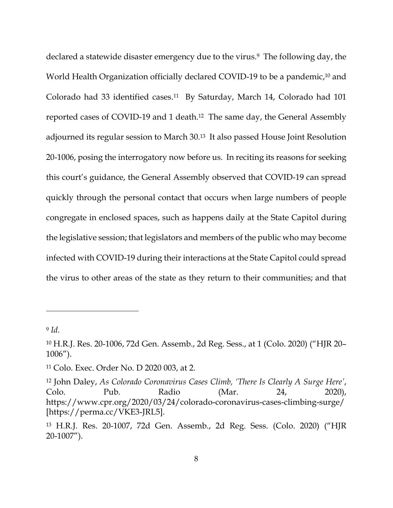declared a statewide disaster emergency due to the virus.<sup>9</sup> The following day, the World Health Organization officially declared COVID-19 to be a pandemic,<sup>10</sup> and Colorado had 33 identified cases.11 By Saturday, March 14, Colorado had 101 reported cases of COVID-19 and 1 death.12 The same day, the General Assembly adjourned its regular session to March 30.13 It also passed House Joint Resolution 20-1006, posing the interrogatory now before us. In reciting its reasons for seeking this court's guidance, the General Assembly observed that COVID-19 can spread quickly through the personal contact that occurs when large numbers of people congregate in enclosed spaces, such as happens daily at the State Capitol during the legislative session; that legislators and members of the public who may become infected with COVID-19 during their interactions at the State Capitol could spread the virus to other areas of the state as they return to their communities; and that

<sup>9</sup> *Id.*

<sup>10</sup> H.R.J. Res. 20-1006, 72d Gen. Assemb., 2d Reg. Sess., at 1 (Colo. 2020) ("HJR 20– 1006").

<sup>11</sup> Colo. Exec. Order No. D 2020 003, at 2.

<sup>12</sup> John Daley, *As Colorado Coronavirus Cases Climb, 'There Is Clearly A Surge Here'*, Colo. Pub. Radio (Mar. 24, 2020), https://www.cpr.org/2020/03/24/colorado-coronavirus-cases-climbing-surge/ [https://perma.cc/VKE3-JRL5].

<sup>13</sup> H.R.J. Res. 20-1007, 72d Gen. Assemb., 2d Reg. Sess. (Colo. 2020) ("HJR 20-1007").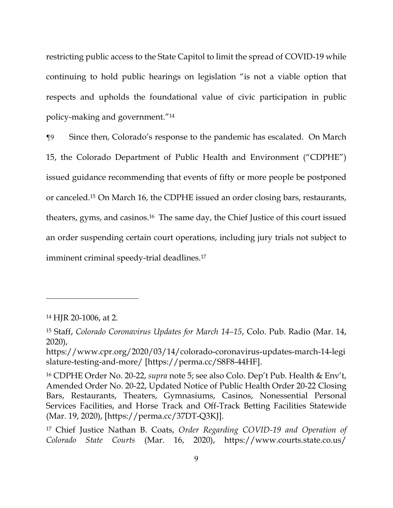restricting public access to the State Capitol to limit the spread of COVID-19 while continuing to hold public hearings on legislation "is not a viable option that respects and upholds the foundational value of civic participation in public policy-making and government."14

¶9 Since then, Colorado's response to the pandemic has escalated. On March 15, the Colorado Department of Public Health and Environment ("CDPHE") issued guidance recommending that events of fifty or more people be postponed or canceled.15 On March 16, the CDPHE issued an order closing bars, restaurants, theaters, gyms, and casinos.16 The same day, the Chief Justice of this court issued an order suspending certain court operations, including jury trials not subject to imminent criminal speedy-trial deadlines.<sup>17</sup>

<sup>14</sup> HJR 20-1006, at 2.

<sup>15</sup> Staff, *Colorado Coronavirus Updates for March 14–15*, Colo. Pub. Radio (Mar. 14, 2020),

https://www.cpr.org/2020/03/14/colorado-coronavirus-updates-march-14-legi slature-testing-and-more/ [https://perma.cc/S8F8-44HF].

<sup>16</sup> CDPHE Order No. 20-22, *supra* note 5; see also Colo. Dep't Pub. Health & Env't, Amended Order No. 20-22, Updated Notice of Public Health Order 20-22 Closing Bars, Restaurants, Theaters, Gymnasiums, Casinos, Nonessential Personal Services Facilities, and Horse Track and Off-Track Betting Facilities Statewide (Mar. 19, 2020), [https://perma.cc/37DT-Q3KJ].

<sup>17</sup> Chief Justice Nathan B. Coats, *Order Regarding COVID-19 and Operation of Colorado State Courts* (Mar. 16, 2020), https://www.courts.state.co.us/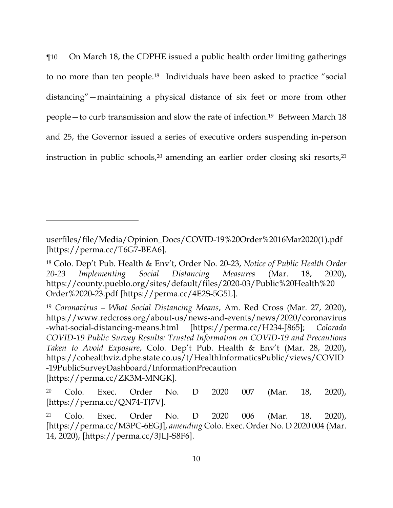¶10 On March 18, the CDPHE issued a public health order limiting gatherings to no more than ten people.18 Individuals have been asked to practice "social distancing"—maintaining a physical distance of six feet or more from other people—to curb transmission and slow the rate of infection.19 Between March 18 and 25, the Governor issued a series of executive orders suspending in-person instruction in public schools,<sup>20</sup> amending an earlier order closing ski resorts,<sup>21</sup>

userfiles/file/Media/Opinion\_Docs/COVID-19%20Order%2016Mar2020(1).pdf [https://perma.cc/T6G7-BEA6].

<sup>18</sup> Colo. Dep't Pub. Health & Env't, Order No. 20-23, *Notice of Public Health Order 20-23 Implementing Social Distancing Measures* (Mar. 18, 2020), https://county.pueblo.org/sites/default/files/2020-03/Public%20Health%20 Order%2020-23.pdf [https://perma.cc/4E2S-5G5L].

<sup>19</sup> *Coronavirus – What Social Distancing Means*, Am. Red Cross (Mar. 27, 2020), https://www.redcross.org/about-us/news-and-events/news/2020/coronavirus -what-social-distancing-means.html [https://perma.cc/H234-J865]; *Colorado COVID-19 Public Survey Results: Trusted Information on COVID-19 and Precautions Taken to Avoid Exposure*, Colo. Dep't Pub. Health & Env't (Mar. 28, 2020), https://cohealthviz.dphe.state.co.us/t/HealthInformaticsPublic/views/COVID -19PublicSurveyDashboard/InformationPrecaution [https://perma.cc/ZK3M-MNGK].

<sup>20</sup> Colo. Exec. Order No. D 2020 007 (Mar. 18, 2020), [https://perma.cc/QN74-TJ7V].

<sup>21</sup> Colo. Exec. Order No. D 2020 006 (Mar. 18, 2020), [https://perma.cc/M3PC-6EGJ], *amending* Colo. Exec. Order No. D 2020 004 (Mar. 14, 2020), [https://perma.cc/3JLJ-S8F6].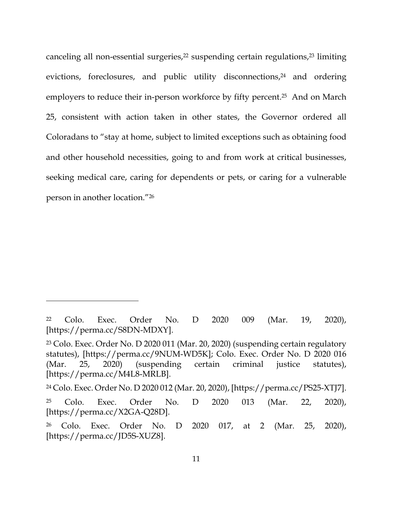canceling all non-essential surgeries,<sup>22</sup> suspending certain regulations,<sup>23</sup> limiting evictions, foreclosures, and public utility disconnections, $24$  and ordering employers to reduce their in-person workforce by fifty percent.<sup>25</sup> And on March 25, consistent with action taken in other states, the Governor ordered all Coloradans to "stay at home, subject to limited exceptions such as obtaining food and other household necessities, going to and from work at critical businesses, seeking medical care, caring for dependents or pets, or caring for a vulnerable person in another location."26

<sup>22</sup> Colo. Exec. Order No. D 2020 009 (Mar. 19, 2020), [https://perma.cc/S8DN-MDXY].

<sup>23</sup> Colo. Exec. Order No. D 2020 011 (Mar. 20, 2020) (suspending certain regulatory statutes), [https://perma.cc/9NUM-WD5K]; Colo. Exec. Order No. D 2020 016 (Mar. 25, 2020) (suspending certain criminal justice statutes), [https://perma.cc/M4L8-MRLB].

<sup>24</sup> Colo. Exec. Order No. D 2020 012 (Mar. 20, 2020), [https://perma.cc/PS25-XTJ7].

<sup>25</sup> Colo. Exec. Order No. D 2020 013 (Mar. 22, 2020), [https://perma.cc/X2GA-Q28D].

<sup>26</sup> Colo. Exec. Order No. D 2020 017, at 2 (Mar. 25, 2020), [https://perma.cc/JD5S-XUZ8].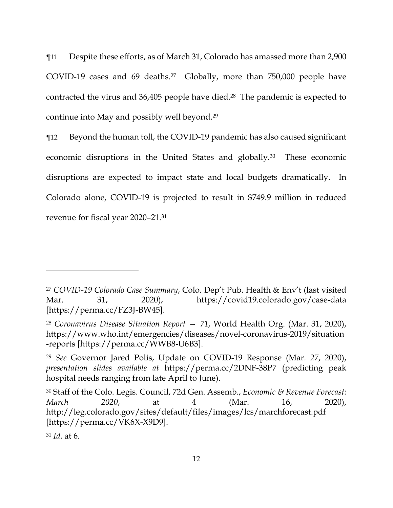¶11 Despite these efforts, as of March 31, Colorado has amassed more than 2,900 COVID-19 cases and 69 deaths.<sup>27</sup> Globally, more than  $750,000$  people have contracted the virus and 36,405 people have died.28 The pandemic is expected to continue into May and possibly well beyond.29

¶12 Beyond the human toll, the COVID-19 pandemic has also caused significant economic disruptions in the United States and globally.30 These economic disruptions are expected to impact state and local budgets dramatically. In Colorado alone, COVID-19 is projected to result in \$749.9 million in reduced revenue for fiscal year 2020–21.31

<sup>27</sup> *COVID-19 Colorado Case Summary*, Colo. Dep't Pub. Health & Env't (last visited Mar. 31, 2020), https://covid19.colorado.gov/case-data [https://perma.cc/FZ3J-BW45].

<sup>28</sup> *Coronavirus Disease Situation Report — 71*, World Health Org. (Mar. 31, 2020), https://www.who.int/emergencies/diseases/novel-coronavirus-2019/situation -reports [https://perma.cc/WWB8-U6B3].

<sup>29</sup> *See* Governor Jared Polis, Update on COVID-19 Response (Mar. 27, 2020), *presentation slides available at* https://perma.cc/2DNF-38P7 (predicting peak hospital needs ranging from late April to June).

<sup>30</sup> Staff of the Colo. Legis. Council, 72d Gen. Assemb., *Economic & Revenue Forecast: March 2020*, at 4 (Mar. 16, 2020), http://leg.colorado.gov/sites/default/files/images/lcs/marchforecast.pdf [https://perma.cc/VK6X-X9D9].

<sup>31</sup> *Id.* at 6.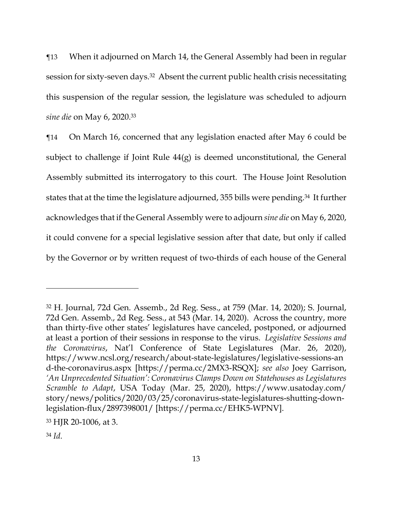¶13 When it adjourned on March 14, the General Assembly had been in regular session for sixty-seven days.32 Absent the current public health crisis necessitating this suspension of the regular session, the legislature was scheduled to adjourn *sine die* on May 6, 2020.33

¶14 On March 16, concerned that any legislation enacted after May 6 could be subject to challenge if Joint Rule 44(g) is deemed unconstitutional, the General Assembly submitted its interrogatory to this court. The House Joint Resolution states that at the time the legislature adjourned, 355 bills were pending.<sup>34</sup> It further acknowledges that if the General Assembly were to adjourn *sine die* on May 6, 2020, it could convene for a special legislative session after that date, but only if called by the Governor or by written request of two-thirds of each house of the General

<sup>32</sup> H. Journal, 72d Gen. Assemb., 2d Reg. Sess., at 759 (Mar. 14, 2020); S. Journal, 72d Gen. Assemb., 2d Reg. Sess., at 543 (Mar. 14, 2020). Across the country, more than thirty-five other states' legislatures have canceled, postponed, or adjourned at least a portion of their sessions in response to the virus. *Legislative Sessions and the Coronavirus*, Nat'l Conference of State Legislatures (Mar. 26, 2020), https://www.ncsl.org/research/about-state-legislatures/legislative-sessions-an d-the-coronavirus.aspx [https://perma.cc/2MX3-RSQX]; *see also* Joey Garrison, *'An Unprecedented Situation': Coronavirus Clamps Down on Statehouses as Legislatures Scramble to Adapt*, USA Today (Mar. 25, 2020), https://www.usatoday.com/ story/news/politics/2020/03/25/coronavirus-state-legislatures-shutting-downlegislation-flux/2897398001/ [https://perma.cc/EHK5-WPNV].

<sup>33</sup> HJR 20-1006, at 3.

<sup>34</sup> *Id.*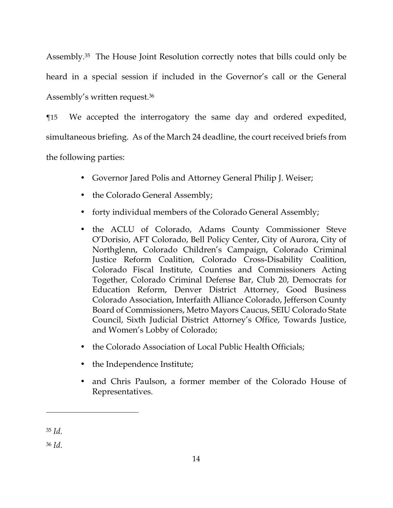Assembly.35 The House Joint Resolution correctly notes that bills could only be heard in a special session if included in the Governor's call or the General Assembly's written request.36

¶15 We accepted the interrogatory the same day and ordered expedited, simultaneous briefing. As of the March 24 deadline, the court received briefs from the following parties:

- Governor Jared Polis and Attorney General Philip J. Weiser;
- the Colorado General Assembly;
- forty individual members of the Colorado General Assembly;
- the ACLU of Colorado, Adams County Commissioner Steve O'Dorisio, AFT Colorado, Bell Policy Center, City of Aurora, City of Northglenn, Colorado Children's Campaign, Colorado Criminal Justice Reform Coalition, Colorado Cross-Disability Coalition, Colorado Fiscal Institute, Counties and Commissioners Acting Together, Colorado Criminal Defense Bar, Club 20, Democrats for Education Reform, Denver District Attorney, Good Business Colorado Association, Interfaith Alliance Colorado, Jefferson County Board of Commissioners, Metro Mayors Caucus, SEIU Colorado State Council, Sixth Judicial District Attorney's Office, Towards Justice, and Women's Lobby of Colorado;
- the Colorado Association of Local Public Health Officials:
- the Independence Institute;
- and Chris Paulson, a former member of the Colorado House of Representatives.

<u>.</u>

<sup>35</sup> *Id.*

<sup>36</sup> *Id.*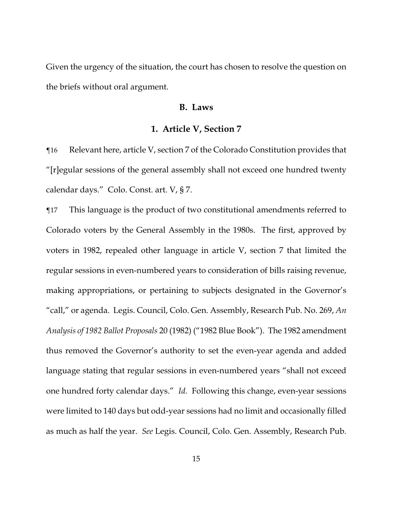Given the urgency of the situation, the court has chosen to resolve the question on the briefs without oral argument.

## **B. Laws**

#### **1. Article V, Section 7**

¶16 Relevant here, article V, section 7 of the Colorado Constitution provides that "[r]egular sessions of the general assembly shall not exceed one hundred twenty calendar days." Colo. Const. art. V, § 7.

¶17 This language is the product of two constitutional amendments referred to Colorado voters by the General Assembly in the 1980s. The first, approved by voters in 1982, repealed other language in article V, section 7 that limited the regular sessions in even-numbered years to consideration of bills raising revenue, making appropriations, or pertaining to subjects designated in the Governor's "call," or agenda. Legis. Council, Colo. Gen. Assembly, Research Pub. No. 269, *An Analysis of 1982 Ballot Proposals* 20 (1982) ("1982 Blue Book"). The 1982 amendment thus removed the Governor's authority to set the even-year agenda and added language stating that regular sessions in even-numbered years "shall not exceed one hundred forty calendar days." *Id.* Following this change, even-year sessions were limited to 140 days but odd-year sessions had no limit and occasionally filled as much as half the year. *See* Legis. Council, Colo. Gen. Assembly, Research Pub.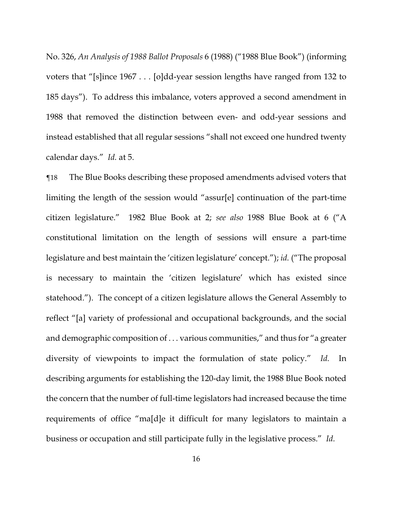No. 326, *An Analysis of 1988 Ballot Proposals* 6 (1988) ("1988 Blue Book") (informing voters that "[s]ince 1967 . . . [o]dd-year session lengths have ranged from 132 to 185 days"). To address this imbalance, voters approved a second amendment in 1988 that removed the distinction between even- and odd-year sessions and instead established that all regular sessions "shall not exceed one hundred twenty calendar days." *Id.* at 5.

¶18 The Blue Books describing these proposed amendments advised voters that limiting the length of the session would "assur[e] continuation of the part-time citizen legislature." 1982 Blue Book at 2; *see also* 1988 Blue Book at 6 ("A constitutional limitation on the length of sessions will ensure a part-time legislature and best maintain the 'citizen legislature' concept."); *id.* ("The proposal is necessary to maintain the 'citizen legislature' which has existed since statehood."). The concept of a citizen legislature allows the General Assembly to reflect "[a] variety of professional and occupational backgrounds, and the social and demographic composition of . . . various communities," and thus for "a greater diversity of viewpoints to impact the formulation of state policy." *Id.* In describing arguments for establishing the 120-day limit, the 1988 Blue Book noted the concern that the number of full-time legislators had increased because the time requirements of office "ma[d]e it difficult for many legislators to maintain a business or occupation and still participate fully in the legislative process." *Id.*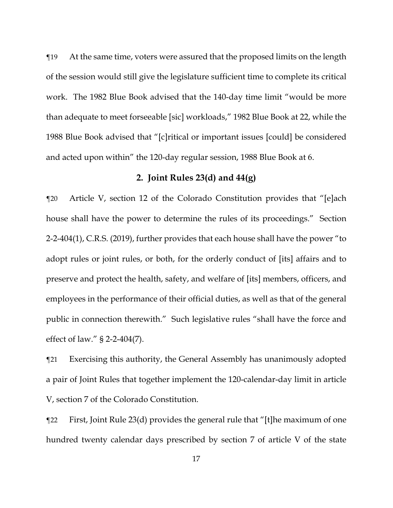¶19 At the same time, voters were assured that the proposed limits on the length of the session would still give the legislature sufficient time to complete its critical work. The 1982 Blue Book advised that the 140-day time limit "would be more than adequate to meet forseeable [sic] workloads," 1982 Blue Book at 22, while the 1988 Blue Book advised that "[c]ritical or important issues [could] be considered and acted upon within" the 120-day regular session, 1988 Blue Book at 6.

### **2. Joint Rules 23(d) and 44(g)**

¶20 Article V, section 12 of the Colorado Constitution provides that "[e]ach house shall have the power to determine the rules of its proceedings." Section 2-2-404(1), C.R.S. (2019), further provides that each house shall have the power "to adopt rules or joint rules, or both, for the orderly conduct of [its] affairs and to preserve and protect the health, safety, and welfare of [its] members, officers, and employees in the performance of their official duties, as well as that of the general public in connection therewith." Such legislative rules "shall have the force and effect of law." § 2-2-404(7).

¶21 Exercising this authority, the General Assembly has unanimously adopted a pair of Joint Rules that together implement the 120-calendar-day limit in article V, section 7 of the Colorado Constitution.

¶22 First, Joint Rule 23(d) provides the general rule that "[t]he maximum of one hundred twenty calendar days prescribed by section 7 of article V of the state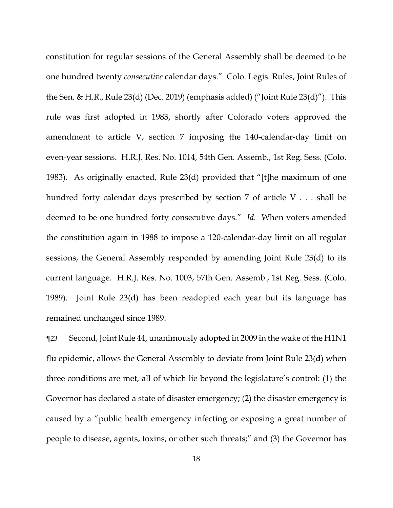constitution for regular sessions of the General Assembly shall be deemed to be one hundred twenty *consecutive* calendar days." Colo. Legis. Rules, Joint Rules of the Sen. & H.R., Rule 23(d) (Dec. 2019) (emphasis added) ("Joint Rule 23(d)"). This rule was first adopted in 1983, shortly after Colorado voters approved the amendment to article V, section 7 imposing the 140-calendar-day limit on even-year sessions. H.R.J. Res. No. 1014, 54th Gen. Assemb., 1st Reg. Sess. (Colo. 1983). As originally enacted, Rule 23(d) provided that "[t]he maximum of one hundred forty calendar days prescribed by section 7 of article V . . . shall be deemed to be one hundred forty consecutive days." *Id.* When voters amended the constitution again in 1988 to impose a 120-calendar-day limit on all regular sessions, the General Assembly responded by amending Joint Rule 23(d) to its current language. H.R.J. Res. No. 1003, 57th Gen. Assemb., 1st Reg. Sess. (Colo. 1989). Joint Rule 23(d) has been readopted each year but its language has remained unchanged since 1989.

¶23 Second, Joint Rule 44, unanimously adopted in 2009 in the wake of the H1N1 flu epidemic, allows the General Assembly to deviate from Joint Rule 23(d) when three conditions are met, all of which lie beyond the legislature's control: (1) the Governor has declared a state of disaster emergency; (2) the disaster emergency is caused by a "public health emergency infecting or exposing a great number of people to disease, agents, toxins, or other such threats;" and (3) the Governor has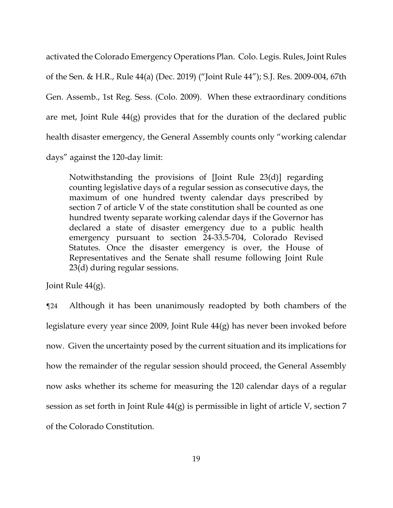activated the Colorado Emergency Operations Plan. Colo. Legis. Rules, Joint Rules of the Sen. & H.R., Rule 44(a) (Dec. 2019) ("Joint Rule 44"); S.J. Res. 2009-004, 67th Gen. Assemb., 1st Reg. Sess. (Colo. 2009). When these extraordinary conditions are met, Joint Rule 44(g) provides that for the duration of the declared public health disaster emergency, the General Assembly counts only "working calendar days" against the 120-day limit:

Notwithstanding the provisions of [Joint Rule 23(d)] regarding counting legislative days of a regular session as consecutive days, the maximum of one hundred twenty calendar days prescribed by section 7 of article V of the state constitution shall be counted as one hundred twenty separate working calendar days if the Governor has declared a state of disaster emergency due to a public health emergency pursuant to section 24-33.5-704, Colorado Revised Statutes. Once the disaster emergency is over, the House of Representatives and the Senate shall resume following Joint Rule 23(d) during regular sessions.

Joint Rule 44(g).

¶24 Although it has been unanimously readopted by both chambers of the legislature every year since 2009, Joint Rule 44(g) has never been invoked before now. Given the uncertainty posed by the current situation and its implications for how the remainder of the regular session should proceed, the General Assembly now asks whether its scheme for measuring the 120 calendar days of a regular session as set forth in Joint Rule 44(g) is permissible in light of article V, section 7 of the Colorado Constitution.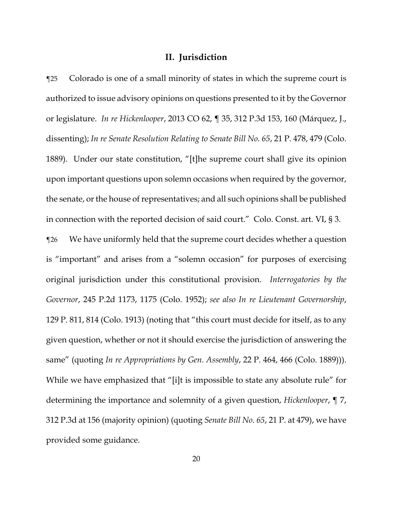# **II. Jurisdiction**

¶25 Colorado is one of a small minority of states in which the supreme court is authorized to issue advisory opinions on questions presented to it by the Governor or legislature. *In re Hickenlooper*, 2013 CO 62, ¶ 35, 312 P.3d 153, 160 (Márquez, J., dissenting); *In re Senate Resolution Relating to Senate Bill No. 65*, 21 P. 478, 479 (Colo. 1889). Under our state constitution, "[t]he supreme court shall give its opinion upon important questions upon solemn occasions when required by the governor, the senate, or the house of representatives; and all such opinions shall be published in connection with the reported decision of said court." Colo. Const. art. VI, § 3. ¶26 We have uniformly held that the supreme court decides whether a question is "important" and arises from a "solemn occasion" for purposes of exercising original jurisdiction under this constitutional provision. *Interrogatories by the Governor*, 245 P.2d 1173, 1175 (Colo. 1952); *see also In re Lieutenant Governorship*, 129 P. 811, 814 (Colo. 1913) (noting that "this court must decide for itself, as to any given question, whether or not it should exercise the jurisdiction of answering the same" (quoting *In re Appropriations by Gen. Assembly*, 22 P. 464, 466 (Colo. 1889))). While we have emphasized that "[i]t is impossible to state any absolute rule" for determining the importance and solemnity of a given question, *Hickenlooper*, ¶ 7, 312 P.3d at 156 (majority opinion) (quoting *Senate Bill No. 65*, 21 P. at 479), we have provided some guidance.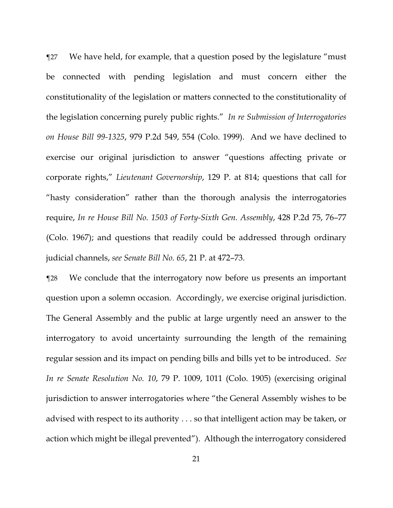¶27 We have held, for example, that a question posed by the legislature "must be connected with pending legislation and must concern either the constitutionality of the legislation or matters connected to the constitutionality of the legislation concerning purely public rights." *In re Submission of Interrogatories on House Bill 99-1325*, 979 P.2d 549, 554 (Colo. 1999). And we have declined to exercise our original jurisdiction to answer "questions affecting private or corporate rights," *Lieutenant Governorship*, 129 P. at 814; questions that call for "hasty consideration" rather than the thorough analysis the interrogatories require, *In re House Bill No. 1503 of Forty-Sixth Gen. Assembly*, 428 P.2d 75, 76–77 (Colo. 1967); and questions that readily could be addressed through ordinary judicial channels, *see Senate Bill No. 65*, 21 P. at 472–73.

¶28 We conclude that the interrogatory now before us presents an important question upon a solemn occasion. Accordingly, we exercise original jurisdiction. The General Assembly and the public at large urgently need an answer to the interrogatory to avoid uncertainty surrounding the length of the remaining regular session and its impact on pending bills and bills yet to be introduced. *See In re Senate Resolution No. 10*, 79 P. 1009, 1011 (Colo. 1905) (exercising original jurisdiction to answer interrogatories where "the General Assembly wishes to be advised with respect to its authority . . . so that intelligent action may be taken, or action which might be illegal prevented"). Although the interrogatory considered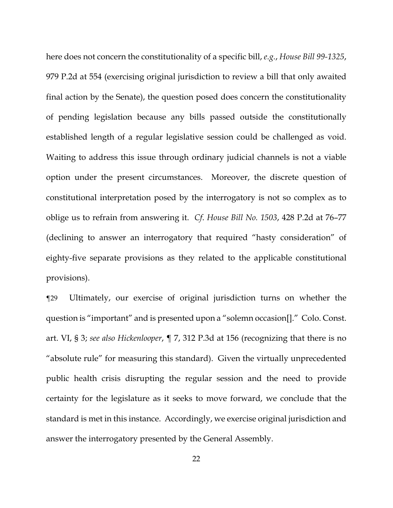here does not concern the constitutionality of a specific bill, *e.g.*, *House Bill 99-1325*, 979 P.2d at 554 (exercising original jurisdiction to review a bill that only awaited final action by the Senate), the question posed does concern the constitutionality of pending legislation because any bills passed outside the constitutionally established length of a regular legislative session could be challenged as void. Waiting to address this issue through ordinary judicial channels is not a viable option under the present circumstances. Moreover, the discrete question of constitutional interpretation posed by the interrogatory is not so complex as to oblige us to refrain from answering it. *Cf*. *House Bill No. 1503*, 428 P.2d at 76–77 (declining to answer an interrogatory that required "hasty consideration" of eighty-five separate provisions as they related to the applicable constitutional provisions).

¶29 Ultimately, our exercise of original jurisdiction turns on whether the question is "important" and is presented upon a "solemn occasion[]." Colo. Const. art. VI, § 3; *see also Hickenlooper*, ¶ 7, 312 P.3d at 156 (recognizing that there is no "absolute rule" for measuring this standard). Given the virtually unprecedented public health crisis disrupting the regular session and the need to provide certainty for the legislature as it seeks to move forward, we conclude that the standard is met in this instance. Accordingly, we exercise original jurisdiction and answer the interrogatory presented by the General Assembly.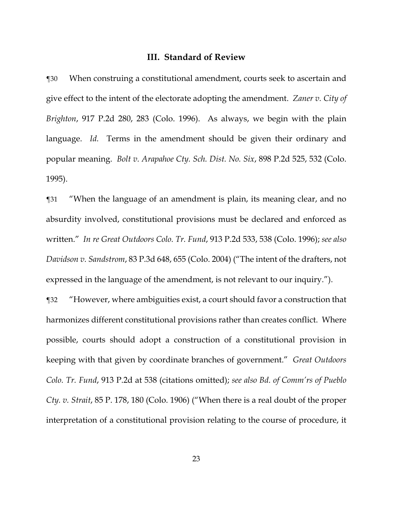## **III. Standard of Review**

¶30 When construing a constitutional amendment, courts seek to ascertain and give effect to the intent of the electorate adopting the amendment. *Zaner v. City of Brighton*, 917 P.2d 280, 283 (Colo. 1996). As always, we begin with the plain language. *Id.* Terms in the amendment should be given their ordinary and popular meaning. *Bolt v. Arapahoe Cty. Sch. Dist. No. Six*, 898 P.2d 525, 532 (Colo. 1995).

¶31 "When the language of an amendment is plain, its meaning clear, and no absurdity involved, constitutional provisions must be declared and enforced as written." *In re Great Outdoors Colo. Tr. Fund*, 913 P.2d 533, 538 (Colo. 1996); *see also Davidson v. Sandstrom*, 83 P.3d 648, 655 (Colo. 2004) ("The intent of the drafters, not expressed in the language of the amendment, is not relevant to our inquiry.").

¶32 "However, where ambiguities exist, a court should favor a construction that harmonizes different constitutional provisions rather than creates conflict. Where possible, courts should adopt a construction of a constitutional provision in keeping with that given by coordinate branches of government." *Great Outdoors Colo. Tr. Fund*, 913 P.2d at 538 (citations omitted); *see also Bd. of Comm'rs of Pueblo Cty. v. Strait*, 85 P. 178, 180 (Colo. 1906) ("When there is a real doubt of the proper interpretation of a constitutional provision relating to the course of procedure, it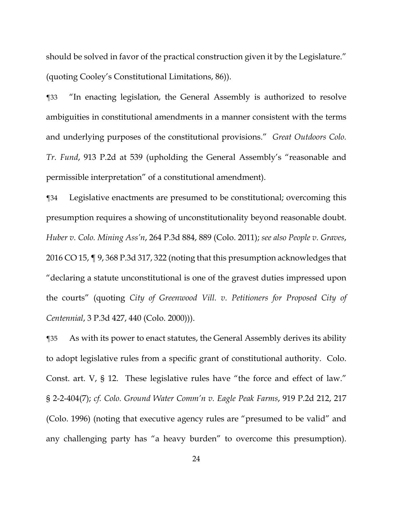should be solved in favor of the practical construction given it by the Legislature." (quoting Cooley's Constitutional Limitations, 86)).

¶33 "In enacting legislation, the General Assembly is authorized to resolve ambiguities in constitutional amendments in a manner consistent with the terms and underlying purposes of the constitutional provisions." *Great Outdoors Colo. Tr. Fund*, 913 P.2d at 539 (upholding the General Assembly's "reasonable and permissible interpretation" of a constitutional amendment).

¶34 Legislative enactments are presumed to be constitutional; overcoming this presumption requires a showing of unconstitutionality beyond reasonable doubt. *Huber v. Colo. Mining Ass'n*, 264 P.3d 884, 889 (Colo. 2011); *see also People v. Graves*, 2016 CO 15, ¶ 9, 368 P.3d 317, 322 (noting that this presumption acknowledges that "declaring a statute unconstitutional is one of the gravest duties impressed upon the courts" (quoting *City of Greenwood Vill. v. Petitioners for Proposed City of Centennial*, 3 P.3d 427, 440 (Colo. 2000))).

¶35 As with its power to enact statutes, the General Assembly derives its ability to adopt legislative rules from a specific grant of constitutional authority. Colo. Const. art. V, § 12. These legislative rules have "the force and effect of law." § 2-2-404(7); *cf. Colo. Ground Water Comm'n v. Eagle Peak Farms*, 919 P.2d 212, 217 (Colo. 1996) (noting that executive agency rules are "presumed to be valid" and any challenging party has "a heavy burden" to overcome this presumption).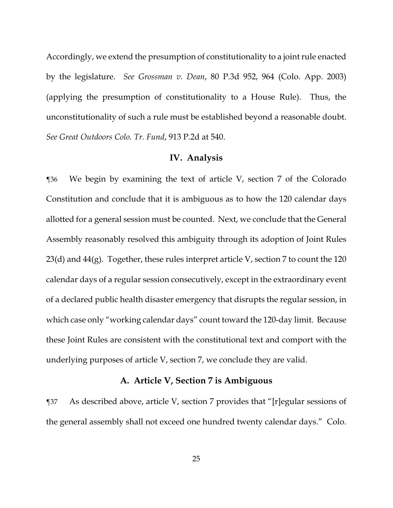Accordingly, we extend the presumption of constitutionality to a joint rule enacted by the legislature. *See Grossman v. Dean*, 80 P.3d 952, 964 (Colo. App. 2003) (applying the presumption of constitutionality to a House Rule). Thus, the unconstitutionality of such a rule must be established beyond a reasonable doubt. *See Great Outdoors Colo. Tr. Fund*, 913 P.2d at 540.

#### **IV. Analysis**

¶36 We begin by examining the text of article V, section 7 of the Colorado Constitution and conclude that it is ambiguous as to how the 120 calendar days allotted for a general session must be counted. Next, we conclude that the General Assembly reasonably resolved this ambiguity through its adoption of Joint Rules  $23(d)$  and  $44(g)$ . Together, these rules interpret article V, section 7 to count the 120 calendar days of a regular session consecutively, except in the extraordinary event of a declared public health disaster emergency that disrupts the regular session, in which case only "working calendar days" count toward the 120-day limit. Because these Joint Rules are consistent with the constitutional text and comport with the underlying purposes of article V, section 7, we conclude they are valid.

# **A. Article V, Section 7 is Ambiguous**

¶37 As described above, article V, section 7 provides that "[r]egular sessions of the general assembly shall not exceed one hundred twenty calendar days." Colo.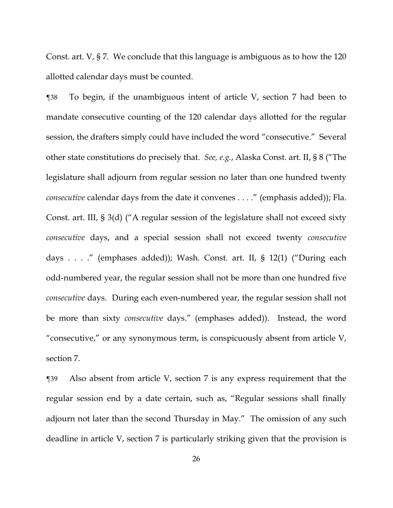Const. art. V, § 7. We conclude that this language is ambiguous as to how the 120 allotted calendar days must be counted.

¶38 To begin, if the unambiguous intent of article V, section 7 had been to mandate consecutive counting of the 120 calendar days allotted for the regular session, the drafters simply could have included the word "consecutive." Several other state constitutions do precisely that. *See, e.g.*, Alaska Const. art. II, § 8 ("The legislature shall adjourn from regular session no later than one hundred twenty *consecutive* calendar days from the date it convenes . . . ." (emphasis added)); Fla. Const. art. III, § 3(d) ("A regular session of the legislature shall not exceed sixty *consecutive* days, and a special session shall not exceed twenty *consecutive* days . . . ." (emphases added)); Wash. Const. art. II, § 12(1) ("During each odd-numbered year, the regular session shall not be more than one hundred five *consecutive* days. During each even-numbered year, the regular session shall not be more than sixty *consecutive* days." (emphases added)). Instead, the word "consecutive," or any synonymous term, is conspicuously absent from article V, section 7.

¶39 Also absent from article V, section 7 is any express requirement that the regular session end by a date certain, such as, "Regular sessions shall finally adjourn not later than the second Thursday in May." The omission of any such deadline in article V, section 7 is particularly striking given that the provision is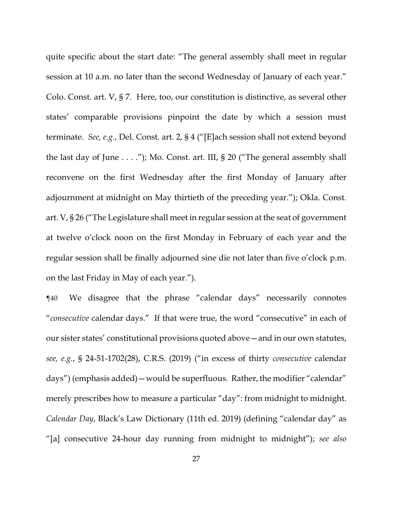quite specific about the start date: "The general assembly shall meet in regular session at 10 a.m. no later than the second Wednesday of January of each year." Colo. Const. art. V, § 7. Here, too, our constitution is distinctive, as several other states' comparable provisions pinpoint the date by which a session must terminate. *See, e.g.*, Del. Const. art. 2, § 4 ("[E]ach session shall not extend beyond the last day of June . . . ."); Mo. Const. art. III, § 20 ("The general assembly shall reconvene on the first Wednesday after the first Monday of January after adjournment at midnight on May thirtieth of the preceding year."); Okla. Const. art. V, § 26 ("The Legislature shall meet in regular session at the seat of government at twelve o'clock noon on the first Monday in February of each year and the regular session shall be finally adjourned sine die not later than five o'clock p.m. on the last Friday in May of each year.").

¶40 We disagree that the phrase "calendar days" necessarily connotes "*consecutive* calendar days." If that were true, the word "consecutive" in each of our sister states' constitutional provisions quoted above—and in our own statutes, *see, e.g.*, § 24-51-1702(28), C.R.S. (2019) ("in excess of thirty *consecutive* calendar days") (emphasis added)—would be superfluous. Rather, the modifier "calendar" merely prescribes how to measure a particular "day": from midnight to midnight. *Calendar Day*, Black's Law Dictionary (11th ed. 2019) (defining "calendar day" as "[a] consecutive 24-hour day running from midnight to midnight"); *see also*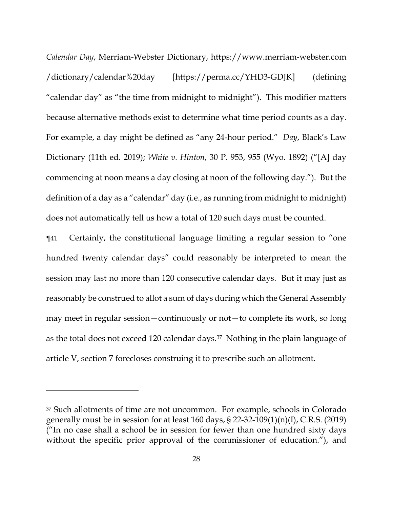*Calendar Day*, Merriam-Webster Dictionary, https://www.merriam-webster.com /dictionary/calendar%20day [https://perma.cc/YHD3-GDJK] (defining "calendar day" as "the time from midnight to midnight"). This modifier matters because alternative methods exist to determine what time period counts as a day. For example, a day might be defined as "any 24-hour period." *Day*, Black's Law Dictionary (11th ed. 2019); *White v. Hinton*, 30 P. 953, 955 (Wyo. 1892) ("[A] day commencing at noon means a day closing at noon of the following day."). But the definition of a day as a "calendar" day (i.e., as running from midnight to midnight) does not automatically tell us how a total of 120 such days must be counted.

¶41 Certainly, the constitutional language limiting a regular session to "one hundred twenty calendar days" could reasonably be interpreted to mean the session may last no more than 120 consecutive calendar days. But it may just as reasonably be construed to allot a sum of days during which the General Assembly may meet in regular session—continuously or not—to complete its work, so long as the total does not exceed 120 calendar days.37 Nothing in the plain language of article V, section 7 forecloses construing it to prescribe such an allotment.

<sup>37</sup> Such allotments of time are not uncommon. For example, schools in Colorado generally must be in session for at least  $160 \text{ days}$ ,  $\S$  22-32- $109(1)(n)(I)$ , C.R.S. (2019) ("In no case shall a school be in session for fewer than one hundred sixty days without the specific prior approval of the commissioner of education."), and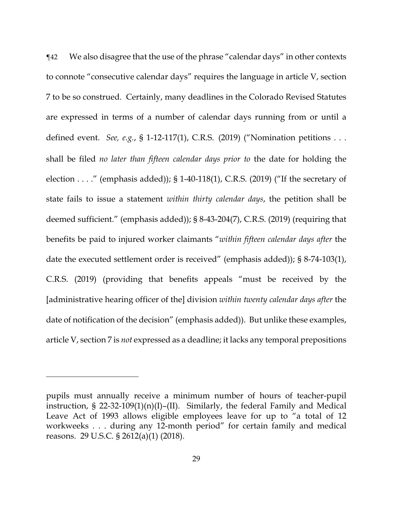¶42 We also disagree that the use of the phrase "calendar days" in other contexts to connote "consecutive calendar days" requires the language in article V, section 7 to be so construed. Certainly, many deadlines in the Colorado Revised Statutes are expressed in terms of a number of calendar days running from or until a defined event. *See, e.g.*, § 1-12-117(1), C.R.S. (2019) ("Nomination petitions . . . shall be filed *no later than fifteen calendar days prior to* the date for holding the election . . . ." (emphasis added)); § 1-40-118(1), C.R.S. (2019) ("If the secretary of state fails to issue a statement *within thirty calendar days*, the petition shall be deemed sufficient." (emphasis added)); § 8-43-204(7), C.R.S. (2019) (requiring that benefits be paid to injured worker claimants "*within fifteen calendar days after* the date the executed settlement order is received" (emphasis added)); § 8-74-103(1), C.R.S. (2019) (providing that benefits appeals "must be received by the [administrative hearing officer of the] division *within twenty calendar days after* the date of notification of the decision" (emphasis added)). But unlike these examples, article V, section 7 is *not* expressed as a deadline; it lacks any temporal prepositions

<u>.</u>

pupils must annually receive a minimum number of hours of teacher-pupil instruction, § 22-32-109(1)(n)(I)–(II). Similarly, the federal Family and Medical Leave Act of 1993 allows eligible employees leave for up to "a total of 12 workweeks . . . during any 12-month period" for certain family and medical reasons. 29 U.S.C. § 2612(a)(1) (2018).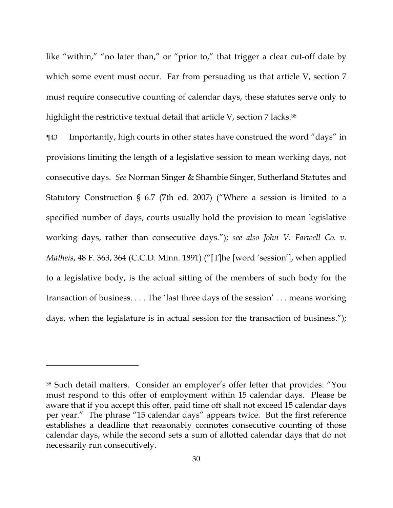like "within," "no later than," or "prior to," that trigger a clear cut-off date by which some event must occur. Far from persuading us that article V, section 7 must require consecutive counting of calendar days, these statutes serve only to highlight the restrictive textual detail that article V, section 7 lacks.<sup>38</sup>

¶43 Importantly, high courts in other states have construed the word "days" in provisions limiting the length of a legislative session to mean working days, not consecutive days. *See* Norman Singer & Shambie Singer, Sutherland Statutes and Statutory Construction § 6.7 (7th ed. 2007) ("Where a session is limited to a specified number of days, courts usually hold the provision to mean legislative working days, rather than consecutive days."); *see also John V. Farwell Co. v. Matheis*, 48 F. 363, 364 (C.C.D. Minn. 1891) ("[T]he [word 'session'], when applied to a legislative body, is the actual sitting of the members of such body for the transaction of business. . . . The 'last three days of the session' . . . means working days, when the legislature is in actual session for the transaction of business.");

<sup>38</sup> Such detail matters. Consider an employer's offer letter that provides: "You must respond to this offer of employment within 15 calendar days. Please be aware that if you accept this offer, paid time off shall not exceed 15 calendar days per year." The phrase "15 calendar days" appears twice. But the first reference establishes a deadline that reasonably connotes consecutive counting of those calendar days, while the second sets a sum of allotted calendar days that do not necessarily run consecutively.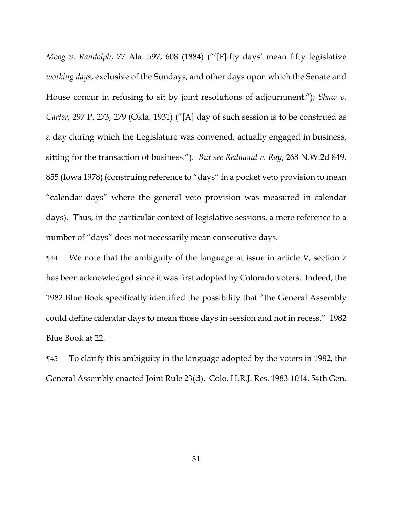*Moog v. Randolph*, 77 Ala. 597, 608 (1884) ("'[F]ifty days' mean fifty legislative *working days*, exclusive of the Sundays, and other days upon which the Senate and House concur in refusing to sit by joint resolutions of adjournment."); *Shaw v. Carter*, 297 P. 273, 279 (Okla. 1931) ("[A] day of such session is to be construed as a day during which the Legislature was convened, actually engaged in business, sitting for the transaction of business."). *But see Redmond v. Ray*, 268 N.W.2d 849, 855 (Iowa 1978) (construing reference to "days" in a pocket veto provision to mean "calendar days" where the general veto provision was measured in calendar days). Thus, in the particular context of legislative sessions, a mere reference to a number of "days" does not necessarily mean consecutive days.

¶44 We note that the ambiguity of the language at issue in article V, section 7 has been acknowledged since it was first adopted by Colorado voters. Indeed, the 1982 Blue Book specifically identified the possibility that "the General Assembly could define calendar days to mean those days in session and not in recess." 1982 Blue Book at 22.

¶45 To clarify this ambiguity in the language adopted by the voters in 1982, the General Assembly enacted Joint Rule 23(d). Colo. H.R.J. Res. 1983-1014, 54th Gen.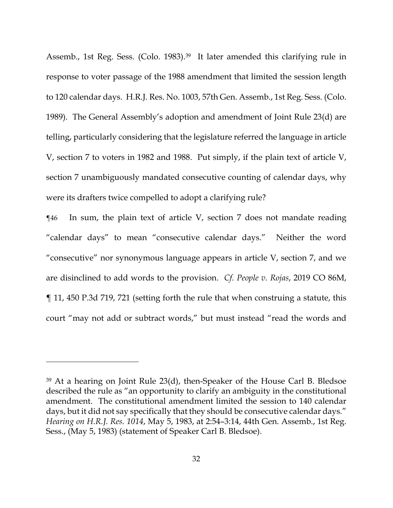Assemb., 1st Reg. Sess. (Colo. 1983).39 It later amended this clarifying rule in response to voter passage of the 1988 amendment that limited the session length to 120 calendar days. H.R.J. Res. No. 1003, 57th Gen. Assemb., 1st Reg. Sess. (Colo. 1989). The General Assembly's adoption and amendment of Joint Rule 23(d) are telling, particularly considering that the legislature referred the language in article V, section 7 to voters in 1982 and 1988. Put simply, if the plain text of article V, section 7 unambiguously mandated consecutive counting of calendar days, why were its drafters twice compelled to adopt a clarifying rule?

¶46 In sum, the plain text of article V, section 7 does not mandate reading "calendar days" to mean "consecutive calendar days." Neither the word "consecutive" nor synonymous language appears in article V, section 7, and we are disinclined to add words to the provision. *Cf. People v. Rojas*, 2019 CO 86M, ¶ 11, 450 P.3d 719, 721 (setting forth the rule that when construing a statute, this court "may not add or subtract words," but must instead "read the words and

<sup>39</sup> At a hearing on Joint Rule 23(d), then-Speaker of the House Carl B. Bledsoe described the rule as "an opportunity to clarify an ambiguity in the constitutional amendment. The constitutional amendment limited the session to 140 calendar days, but it did not say specifically that they should be consecutive calendar days." *Hearing on H.R.J. Res. 1014*, May 5, 1983, at 2:54–3:14, 44th Gen. Assemb., 1st Reg. Sess., (May 5, 1983) (statement of Speaker Carl B. Bledsoe).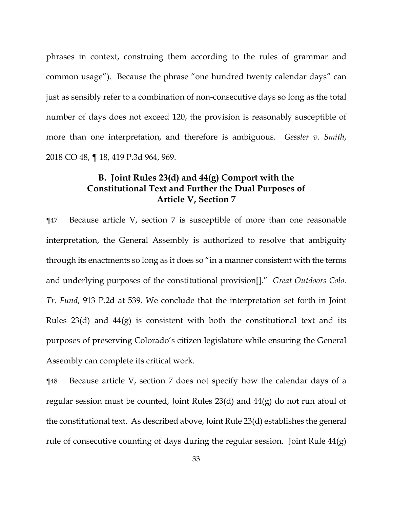phrases in context, construing them according to the rules of grammar and common usage"). Because the phrase "one hundred twenty calendar days" can just as sensibly refer to a combination of non-consecutive days so long as the total number of days does not exceed 120, the provision is reasonably susceptible of more than one interpretation, and therefore is ambiguous. *Gessler v. Smith*, 2018 CO 48, ¶ 18, 419 P.3d 964, 969.

# **B. Joint Rules 23(d) and 44(g) Comport with the Constitutional Text and Further the Dual Purposes of Article V, Section 7**

¶47 Because article V, section 7 is susceptible of more than one reasonable interpretation, the General Assembly is authorized to resolve that ambiguity through its enactments so long as it does so "in a manner consistent with the terms and underlying purposes of the constitutional provision[]." *Great Outdoors Colo. Tr. Fund*, 913 P.2d at 539. We conclude that the interpretation set forth in Joint Rules  $23(d)$  and  $44(g)$  is consistent with both the constitutional text and its purposes of preserving Colorado's citizen legislature while ensuring the General Assembly can complete its critical work.

¶48 Because article V, section 7 does not specify how the calendar days of a regular session must be counted, Joint Rules 23(d) and 44(g) do not run afoul of the constitutional text. As described above, Joint Rule 23(d) establishes the general rule of consecutive counting of days during the regular session. Joint Rule 44(g)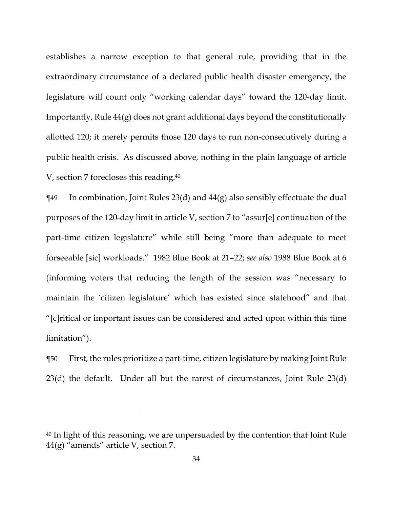establishes a narrow exception to that general rule, providing that in the extraordinary circumstance of a declared public health disaster emergency, the legislature will count only "working calendar days" toward the 120-day limit. Importantly, Rule 44(g) does not grant additional days beyond the constitutionally allotted 120; it merely permits those 120 days to run non-consecutively during a public health crisis. As discussed above, nothing in the plain language of article V, section 7 forecloses this reading.40

 $\P$ 49 In combination, Joint Rules 23(d) and 44(g) also sensibly effectuate the dual purposes of the 120-day limit in article V, section 7 to "assur[e] continuation of the part-time citizen legislature" while still being "more than adequate to meet forseeable [sic] workloads." 1982 Blue Book at 21–22; *see also* 1988 Blue Book at 6 (informing voters that reducing the length of the session was "necessary to maintain the 'citizen legislature' which has existed since statehood" and that "[c]ritical or important issues can be considered and acted upon within this time limitation").

¶50 First, the rules prioritize a part-time, citizen legislature by making Joint Rule 23(d) the default. Under all but the rarest of circumstances, Joint Rule 23(d)

<u>.</u>

<sup>40</sup> In light of this reasoning, we are unpersuaded by the contention that Joint Rule 44(g) "amends" article V, section 7.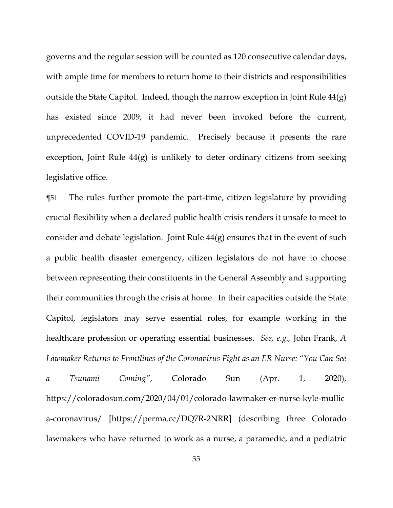governs and the regular session will be counted as 120 consecutive calendar days, with ample time for members to return home to their districts and responsibilities outside the State Capitol. Indeed, though the narrow exception in Joint Rule 44(g) has existed since 2009, it had never been invoked before the current, unprecedented COVID-19 pandemic. Precisely because it presents the rare exception, Joint Rule 44(g) is unlikely to deter ordinary citizens from seeking legislative office.

¶51 The rules further promote the part-time, citizen legislature by providing crucial flexibility when a declared public health crisis renders it unsafe to meet to consider and debate legislation. Joint Rule 44(g) ensures that in the event of such a public health disaster emergency, citizen legislators do not have to choose between representing their constituents in the General Assembly and supporting their communities through the crisis at home. In their capacities outside the State Capitol, legislators may serve essential roles, for example working in the healthcare profession or operating essential businesses. *See, e.g.,* John Frank, *A Lawmaker Returns to Frontlines of the Coronavirus Fight as an ER Nurse: "You Can See a Tsunami Coming"*, Colorado Sun (Apr. 1, 2020), https://coloradosun.com/2020/04/01/colorado-lawmaker-er-nurse-kyle-mullic a-coronavirus/ [https://perma.cc/DQ7R-2NRR] (describing three Colorado lawmakers who have returned to work as a nurse, a paramedic, and a pediatric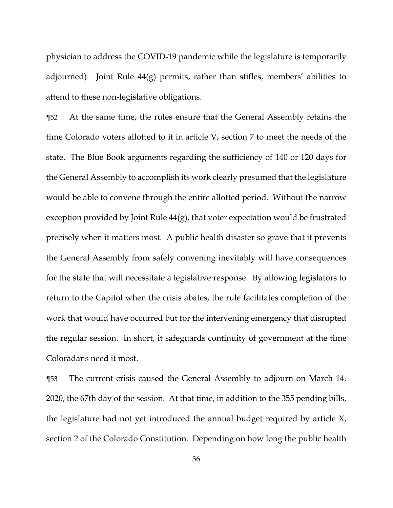physician to address the COVID-19 pandemic while the legislature is temporarily adjourned). Joint Rule  $44(g)$  permits, rather than stifles, members' abilities to attend to these non-legislative obligations.

¶52 At the same time, the rules ensure that the General Assembly retains the time Colorado voters allotted to it in article V, section 7 to meet the needs of the state. The Blue Book arguments regarding the sufficiency of 140 or 120 days for the General Assembly to accomplish its work clearly presumed that the legislature would be able to convene through the entire allotted period. Without the narrow exception provided by Joint Rule 44(g), that voter expectation would be frustrated precisely when it matters most. A public health disaster so grave that it prevents the General Assembly from safely convening inevitably will have consequences for the state that will necessitate a legislative response. By allowing legislators to return to the Capitol when the crisis abates, the rule facilitates completion of the work that would have occurred but for the intervening emergency that disrupted the regular session. In short, it safeguards continuity of government at the time Coloradans need it most.

¶53 The current crisis caused the General Assembly to adjourn on March 14, 2020, the 67th day of the session. At that time, in addition to the 355 pending bills, the legislature had not yet introduced the annual budget required by article X, section 2 of the Colorado Constitution. Depending on how long the public health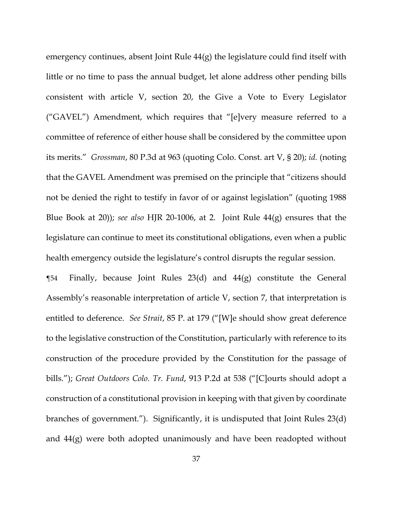emergency continues, absent Joint Rule 44(g) the legislature could find itself with little or no time to pass the annual budget, let alone address other pending bills consistent with article V, section 20, the Give a Vote to Every Legislator ("GAVEL") Amendment, which requires that "[e]very measure referred to a committee of reference of either house shall be considered by the committee upon its merits." *Grossman*, 80 P.3d at 963 (quoting Colo. Const. art V, § 20); *id.* (noting that the GAVEL Amendment was premised on the principle that "citizens should not be denied the right to testify in favor of or against legislation" (quoting 1988 Blue Book at 20)); *see also* HJR 20-1006, at 2. Joint Rule 44(g) ensures that the legislature can continue to meet its constitutional obligations, even when a public health emergency outside the legislature's control disrupts the regular session.

**The Finally, because Joint Rules 23(d) and 44(g) constitute the General** Assembly's reasonable interpretation of article V, section 7, that interpretation is entitled to deference. *See Strait*, 85 P. at 179 ("[W]e should show great deference to the legislative construction of the Constitution, particularly with reference to its construction of the procedure provided by the Constitution for the passage of bills."); *Great Outdoors Colo. Tr. Fund*, 913 P.2d at 538 ("[C]ourts should adopt a construction of a constitutional provision in keeping with that given by coordinate branches of government."). Significantly, it is undisputed that Joint Rules 23(d) and 44(g) were both adopted unanimously and have been readopted without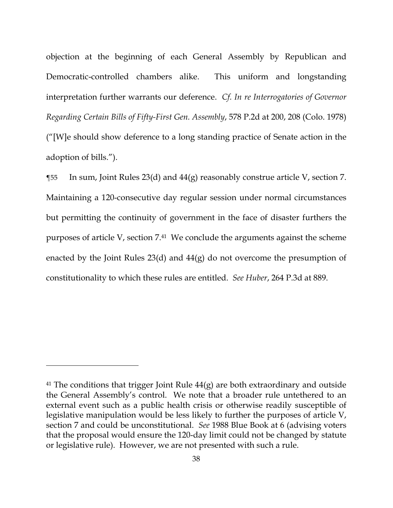objection at the beginning of each General Assembly by Republican and Democratic-controlled chambers alike. This uniform and longstanding interpretation further warrants our deference. *Cf. In re Interrogatories of Governor Regarding Certain Bills of Fifty-First Gen. Assembly*, 578 P.2d at 200, 208 (Colo. 1978) ("[W]e should show deference to a long standing practice of Senate action in the adoption of bills.").

¶55 In sum, Joint Rules 23(d) and 44(g) reasonably construe article V, section 7. Maintaining a 120-consecutive day regular session under normal circumstances but permitting the continuity of government in the face of disaster furthers the purposes of article V, section 7.41 We conclude the arguments against the scheme enacted by the Joint Rules 23(d) and 44(g) do not overcome the presumption of constitutionality to which these rules are entitled. *See Huber*, 264 P.3d at 889.

<sup>&</sup>lt;sup>41</sup> The conditions that trigger Joint Rule  $44(g)$  are both extraordinary and outside the General Assembly's control. We note that a broader rule untethered to an external event such as a public health crisis or otherwise readily susceptible of legislative manipulation would be less likely to further the purposes of article V, section 7 and could be unconstitutional. *See* 1988 Blue Book at 6 (advising voters that the proposal would ensure the 120-day limit could not be changed by statute or legislative rule). However, we are not presented with such a rule.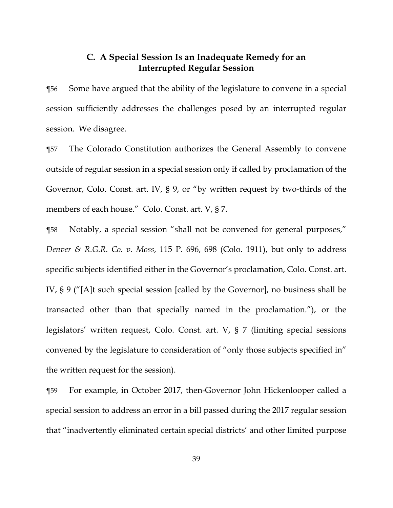# **C. A Special Session Is an Inadequate Remedy for an Interrupted Regular Session**

¶56 Some have argued that the ability of the legislature to convene in a special session sufficiently addresses the challenges posed by an interrupted regular session. We disagree.

¶57 The Colorado Constitution authorizes the General Assembly to convene outside of regular session in a special session only if called by proclamation of the Governor, Colo. Const. art. IV, § 9, or "by written request by two-thirds of the members of each house." Colo. Const. art. V, § 7.

¶58 Notably, a special session "shall not be convened for general purposes," *Denver & R.G.R. Co. v. Moss*, 115 P. 696, 698 (Colo. 1911), but only to address specific subjects identified either in the Governor's proclamation, Colo. Const. art. IV, § 9 ("[A]t such special session [called by the Governor], no business shall be transacted other than that specially named in the proclamation."), or the legislators' written request, Colo. Const. art. V, § 7 (limiting special sessions convened by the legislature to consideration of "only those subjects specified in" the written request for the session).

¶59 For example, in October 2017, then-Governor John Hickenlooper called a special session to address an error in a bill passed during the 2017 regular session that "inadvertently eliminated certain special districts' and other limited purpose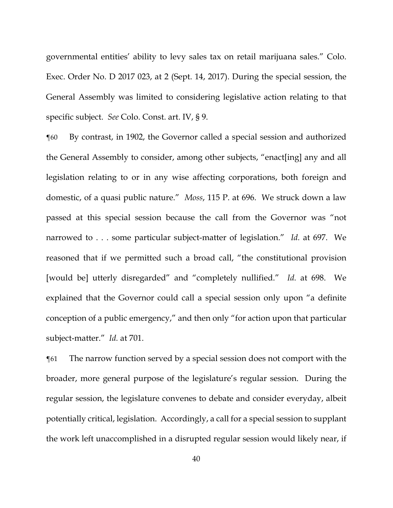governmental entities' ability to levy sales tax on retail marijuana sales." Colo. Exec. Order No. D 2017 023, at 2 (Sept. 14, 2017). During the special session, the General Assembly was limited to considering legislative action relating to that specific subject. *See* Colo. Const. art. IV, § 9.

¶60 By contrast, in 1902, the Governor called a special session and authorized the General Assembly to consider, among other subjects, "enact[ing] any and all legislation relating to or in any wise affecting corporations, both foreign and domestic, of a quasi public nature." *Moss*, 115 P. at 696. We struck down a law passed at this special session because the call from the Governor was "not narrowed to . . . some particular subject-matter of legislation." *Id.* at 697.We reasoned that if we permitted such a broad call, "the constitutional provision [would be] utterly disregarded" and "completely nullified." *Id.* at 698. We explained that the Governor could call a special session only upon "a definite conception of a public emergency," and then only "for action upon that particular subject-matter." *Id.* at 701.

¶61 The narrow function served by a special session does not comport with the broader, more general purpose of the legislature's regular session. During the regular session, the legislature convenes to debate and consider everyday, albeit potentially critical, legislation. Accordingly, a call for a special session to supplant the work left unaccomplished in a disrupted regular session would likely near, if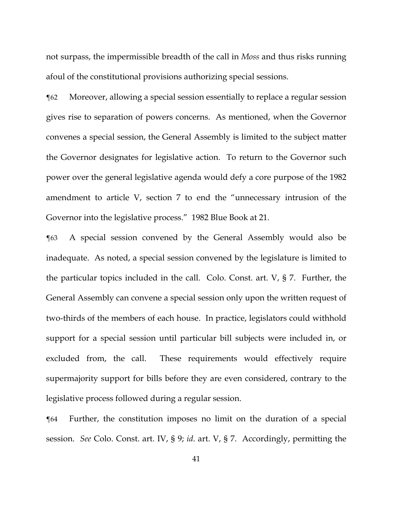not surpass, the impermissible breadth of the call in *Moss* and thus risks running afoul of the constitutional provisions authorizing special sessions.

¶62 Moreover, allowing a special session essentially to replace a regular session gives rise to separation of powers concerns. As mentioned, when the Governor convenes a special session, the General Assembly is limited to the subject matter the Governor designates for legislative action. To return to the Governor such power over the general legislative agenda would defy a core purpose of the 1982 amendment to article V, section 7 to end the "unnecessary intrusion of the Governor into the legislative process." 1982 Blue Book at 21.

¶63 A special session convened by the General Assembly would also be inadequate. As noted, a special session convened by the legislature is limited to the particular topics included in the call. Colo. Const. art. V, § 7. Further, the General Assembly can convene a special session only upon the written request of two-thirds of the members of each house. In practice, legislators could withhold support for a special session until particular bill subjects were included in, or excluded from, the call. These requirements would effectively require supermajority support for bills before they are even considered, contrary to the legislative process followed during a regular session.

¶64 Further, the constitution imposes no limit on the duration of a special session. *See* Colo. Const. art. IV, § 9; *id*. art. V, § 7. Accordingly, permitting the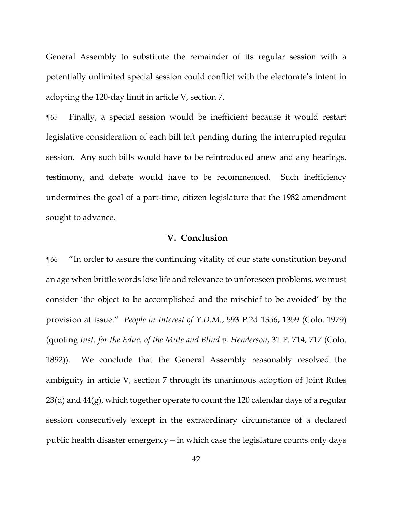General Assembly to substitute the remainder of its regular session with a potentially unlimited special session could conflict with the electorate's intent in adopting the 120-day limit in article V, section 7.

¶65 Finally, a special session would be inefficient because it would restart legislative consideration of each bill left pending during the interrupted regular session. Any such bills would have to be reintroduced anew and any hearings, testimony, and debate would have to be recommenced. Such inefficiency undermines the goal of a part-time, citizen legislature that the 1982 amendment sought to advance.

## **V. Conclusion**

¶66 "In order to assure the continuing vitality of our state constitution beyond an age when brittle words lose life and relevance to unforeseen problems, we must consider 'the object to be accomplished and the mischief to be avoided' by the provision at issue." *People in Interest of Y.D.M.*, 593 P.2d 1356, 1359 (Colo. 1979) (quoting *Inst. for the Educ. of the Mute and Blind v. Henderson*, 31 P. 714, 717 (Colo. 1892)). We conclude that the General Assembly reasonably resolved the ambiguity in article V, section 7 through its unanimous adoption of Joint Rules  $23(d)$  and  $44(g)$ , which together operate to count the 120 calendar days of a regular session consecutively except in the extraordinary circumstance of a declared public health disaster emergency—in which case the legislature counts only days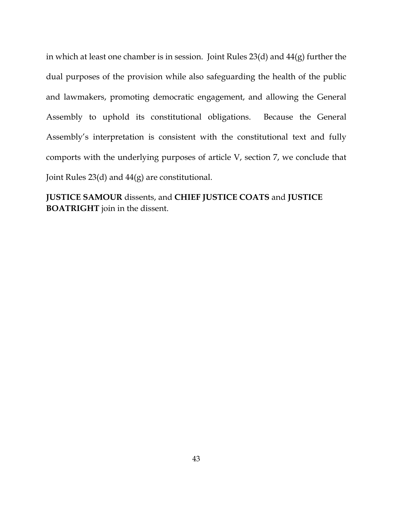in which at least one chamber is in session. Joint Rules 23(d) and 44(g) further the dual purposes of the provision while also safeguarding the health of the public and lawmakers, promoting democratic engagement, and allowing the General Assembly to uphold its constitutional obligations. Because the General Assembly's interpretation is consistent with the constitutional text and fully comports with the underlying purposes of article V, section 7, we conclude that Joint Rules 23(d) and 44(g) are constitutional.

**JUSTICE SAMOUR** dissents, and **CHIEF JUSTICE COATS** and **JUSTICE BOATRIGHT** join in the dissent.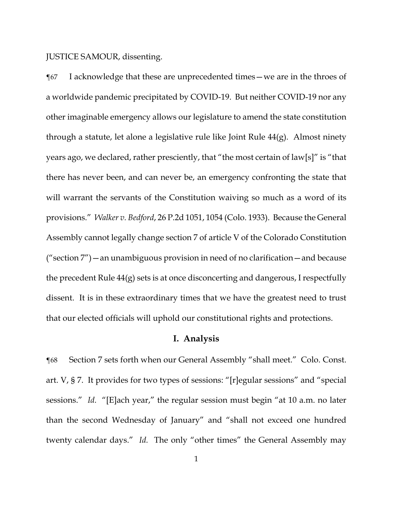JUSTICE SAMOUR, dissenting.

¶67 I acknowledge that these are unprecedented times—we are in the throes of a worldwide pandemic precipitated by COVID-19. But neither COVID-19 nor any other imaginable emergency allows our legislature to amend the state constitution through a statute, let alone a legislative rule like Joint Rule 44(g). Almost ninety years ago, we declared, rather presciently, that "the most certain of law[s]" is "that there has never been, and can never be, an emergency confronting the state that will warrant the servants of the Constitution waiving so much as a word of its provisions." *Walker v. Bedford*, 26 P.2d 1051, 1054 (Colo. 1933). Because the General Assembly cannot legally change section 7 of article V of the Colorado Constitution ("section  $7$ ") — an unambiguous provision in need of no clarification — and because the precedent Rule 44(g) sets is at once disconcerting and dangerous, I respectfully dissent. It is in these extraordinary times that we have the greatest need to trust that our elected officials will uphold our constitutional rights and protections.

## **I. Analysis**

¶68 Section 7 sets forth when our General Assembly "shall meet." Colo. Const. art. V, § 7. It provides for two types of sessions: "[r]egular sessions" and "special sessions." *Id.* "[E]ach year," the regular session must begin "at 10 a.m. no later than the second Wednesday of January" and "shall not exceed one hundred twenty calendar days." *Id.* The only "other times" the General Assembly may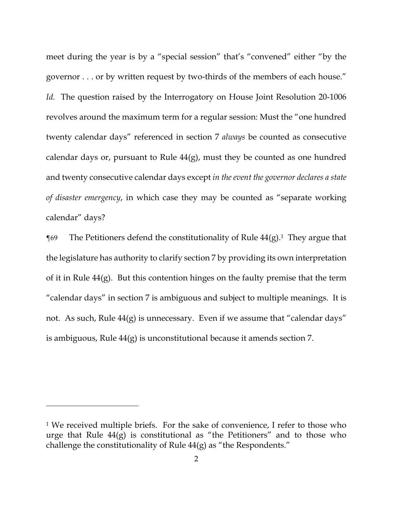meet during the year is by a "special session" that's "convened" either "by the governor . . . or by written request by two-thirds of the members of each house." *Id.* The question raised by the Interrogatory on House Joint Resolution 20-1006 revolves around the maximum term for a regular session: Must the "one hundred twenty calendar days" referenced in section 7 *always* be counted as consecutive calendar days or, pursuant to Rule 44(g), must they be counted as one hundred and twenty consecutive calendar days except *in the event the governor declares a state of disaster emergency*, in which case they may be counted as "separate working calendar" days?

 $\P$ 69 The Petitioners defend the constitutionality of Rule 44(g).<sup>1</sup> They argue that the legislature has authority to clarify section 7 by providing its own interpretation of it in Rule 44(g). But this contention hinges on the faulty premise that the term "calendar days" in section 7 is ambiguous and subject to multiple meanings. It is not. As such, Rule  $44(g)$  is unnecessary. Even if we assume that "calendar days" is ambiguous, Rule 44(g) is unconstitutional because it amends section 7.

<sup>&</sup>lt;sup>1</sup> We received multiple briefs. For the sake of convenience, I refer to those who urge that Rule  $44(g)$  is constitutional as "the Petitioners" and to those who challenge the constitutionality of Rule 44(g) as "the Respondents."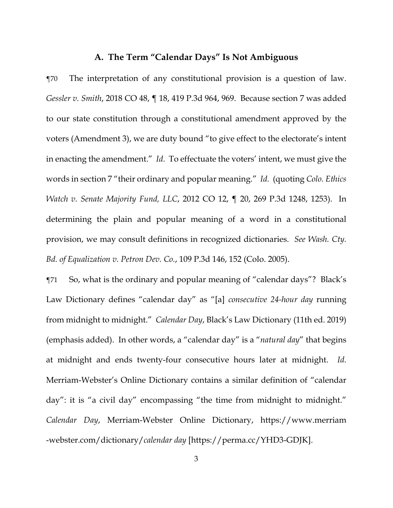# **A. The Term "Calendar Days" Is Not Ambiguous**

¶70 The interpretation of any constitutional provision is a question of law. *Gessler v. Smith*, 2018 CO 48, ¶ 18, 419 P.3d 964, 969. Because section 7 was added to our state constitution through a constitutional amendment approved by the voters (Amendment 3), we are duty bound "to give effect to the electorate's intent in enacting the amendment." *Id.* To effectuate the voters' intent, we must give the words in section 7 "their ordinary and popular meaning." *Id.* (quoting *Colo. Ethics Watch v. Senate Majority Fund, LLC*, 2012 CO 12, ¶ 20, 269 P.3d 1248, 1253). In determining the plain and popular meaning of a word in a constitutional provision, we may consult definitions in recognized dictionaries. *See Wash. Cty. Bd. of Equalization v. Petron Dev. Co.*, 109 P.3d 146, 152 (Colo. 2005).

¶71 So, what is the ordinary and popular meaning of "calendar days"? Black's Law Dictionary defines "calendar day" as "[a] *consecutive 24-hour day* running from midnight to midnight." *Calendar Day*, Black's Law Dictionary (11th ed. 2019) (emphasis added). In other words, a "calendar day" is a "*natural day*" that begins at midnight and ends twenty-four consecutive hours later at midnight. *Id.* Merriam-Webster's Online Dictionary contains a similar definition of "calendar day": it is "a civil day" encompassing "the time from midnight to midnight." *Calendar Day*, Merriam-Webster Online Dictionary, https://www.merriam -webster.com/dictionary/*calendar day* [https://perma.cc/YHD3-GDJK].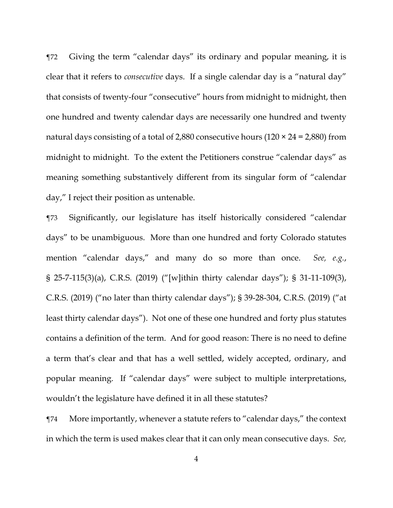¶72 Giving the term "calendar days" its ordinary and popular meaning, it is clear that it refers to *consecutive* days. If a single calendar day is a "natural day" that consists of twenty-four "consecutive" hours from midnight to midnight, then one hundred and twenty calendar days are necessarily one hundred and twenty natural days consisting of a total of 2,880 consecutive hours  $(120 \times 24 = 2,880)$  from midnight to midnight. To the extent the Petitioners construe "calendar days" as meaning something substantively different from its singular form of "calendar day," I reject their position as untenable.

¶73 Significantly, our legislature has itself historically considered "calendar days" to be unambiguous. More than one hundred and forty Colorado statutes mention "calendar days," and many do so more than once. *See, e.g.*, § 25-7-115(3)(a), C.R.S. (2019) ("[w]ithin thirty calendar days"); § 31-11-109(3), C.R.S. (2019) ("no later than thirty calendar days"); § 39-28-304, C.R.S. (2019) ("at least thirty calendar days"). Not one of these one hundred and forty plus statutes contains a definition of the term. And for good reason: There is no need to define a term that's clear and that has a well settled, widely accepted, ordinary, and popular meaning. If "calendar days" were subject to multiple interpretations, wouldn't the legislature have defined it in all these statutes?

¶74 More importantly, whenever a statute refers to "calendar days," the context in which the term is used makes clear that it can only mean consecutive days. *See,*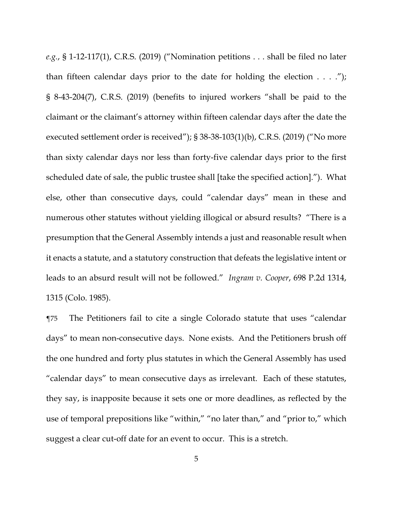*e.g.*, § 1-12-117(1), C.R.S. (2019) ("Nomination petitions . . . shall be filed no later than fifteen calendar days prior to the date for holding the election  $\dots$ . § 8-43-204(7), C.R.S. (2019) (benefits to injured workers "shall be paid to the claimant or the claimant's attorney within fifteen calendar days after the date the executed settlement order is received"); § 38-38-103(1)(b), C.R.S. (2019) ("No more than sixty calendar days nor less than forty-five calendar days prior to the first scheduled date of sale, the public trustee shall [take the specified action]."). What else, other than consecutive days, could "calendar days" mean in these and numerous other statutes without yielding illogical or absurd results? "There is a presumption that the General Assembly intends a just and reasonable result when it enacts a statute, and a statutory construction that defeats the legislative intent or leads to an absurd result will not be followed." *Ingram v. Cooper*, 698 P.2d 1314, 1315 (Colo. 1985).

¶75 The Petitioners fail to cite a single Colorado statute that uses "calendar days" to mean non-consecutive days. None exists. And the Petitioners brush off the one hundred and forty plus statutes in which the General Assembly has used "calendar days" to mean consecutive days as irrelevant. Each of these statutes, they say, is inapposite because it sets one or more deadlines, as reflected by the use of temporal prepositions like "within," "no later than," and "prior to," which suggest a clear cut-off date for an event to occur. This is a stretch.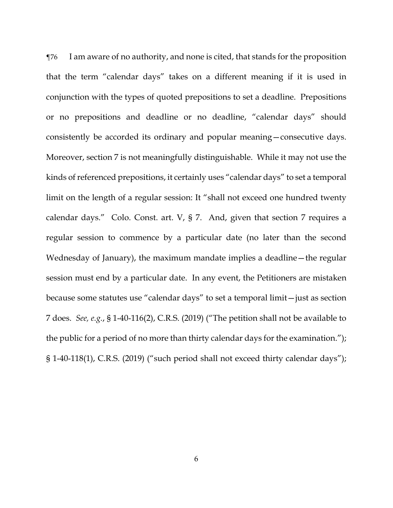¶76 I am aware of no authority, and none is cited, that stands for the proposition that the term "calendar days" takes on a different meaning if it is used in conjunction with the types of quoted prepositions to set a deadline. Prepositions or no prepositions and deadline or no deadline, "calendar days" should consistently be accorded its ordinary and popular meaning—consecutive days. Moreover, section 7 is not meaningfully distinguishable. While it may not use the kinds of referenced prepositions, it certainly uses "calendar days" to set a temporal limit on the length of a regular session: It "shall not exceed one hundred twenty calendar days." Colo. Const. art. V, § 7. And, given that section 7 requires a regular session to commence by a particular date (no later than the second Wednesday of January), the maximum mandate implies a deadline—the regular session must end by a particular date. In any event, the Petitioners are mistaken because some statutes use "calendar days" to set a temporal limit—just as section 7 does. *See, e.g.*, § 1-40-116(2), C.R.S. (2019) ("The petition shall not be available to the public for a period of no more than thirty calendar days for the examination."); § 1-40-118(1), C.R.S. (2019) ("such period shall not exceed thirty calendar days");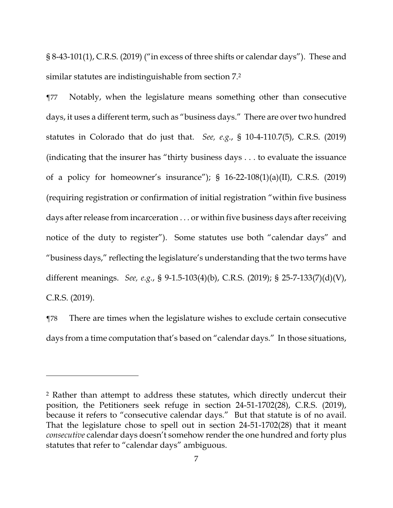§ 8-43-101(1), C.R.S. (2019) ("in excess of three shifts or calendar days"). These and similar statutes are indistinguishable from section 7.2

¶77 Notably, when the legislature means something other than consecutive days, it uses a different term, such as "business days." There are over two hundred statutes in Colorado that do just that. *See, e.g.*, § 10-4-110.7(5), C.R.S. (2019) (indicating that the insurer has "thirty business days . . . to evaluate the issuance of a policy for homeowner's insurance");  $\S$  16-22-108(1)(a)(II), C.R.S. (2019) (requiring registration or confirmation of initial registration "within five business days after release from incarceration . . . or within five business days after receiving notice of the duty to register"). Some statutes use both "calendar days" and "business days," reflecting the legislature's understanding that the two terms have different meanings. *See, e.g.*, § 9-1.5-103(4)(b), C.R.S. (2019); § 25-7-133(7)(d)(V), C.R.S. (2019).

¶78 There are times when the legislature wishes to exclude certain consecutive days from a time computation that's based on "calendar days." In those situations,

<u>.</u>

<sup>2</sup> Rather than attempt to address these statutes, which directly undercut their position, the Petitioners seek refuge in section 24-51-1702(28), C.R.S. (2019), because it refers to "consecutive calendar days." But that statute is of no avail. That the legislature chose to spell out in section 24-51-1702(28) that it meant *consecutive* calendar days doesn't somehow render the one hundred and forty plus statutes that refer to "calendar days" ambiguous.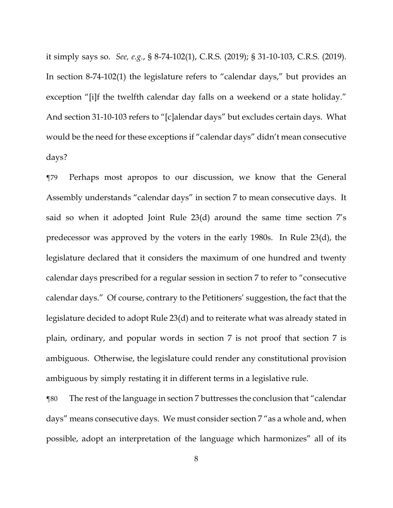it simply says so. *See, e.g.*, § 8-74-102(1), C.R.S. (2019); § 31-10-103, C.R.S. (2019). In section 8-74-102(1) the legislature refers to "calendar days," but provides an exception "[i]f the twelfth calendar day falls on a weekend or a state holiday." And section 31-10-103 refers to "[c]alendar days" but excludes certain days. What would be the need for these exceptions if "calendar days" didn't mean consecutive days?

¶79 Perhaps most apropos to our discussion, we know that the General Assembly understands "calendar days" in section 7 to mean consecutive days. It said so when it adopted Joint Rule 23(d) around the same time section 7's predecessor was approved by the voters in the early 1980s. In Rule 23(d), the legislature declared that it considers the maximum of one hundred and twenty calendar days prescribed for a regular session in section 7 to refer to "consecutive calendar days." Of course, contrary to the Petitioners' suggestion, the fact that the legislature decided to adopt Rule 23(d) and to reiterate what was already stated in plain, ordinary, and popular words in section 7 is not proof that section 7 is ambiguous. Otherwise, the legislature could render any constitutional provision ambiguous by simply restating it in different terms in a legislative rule.

¶80 The rest of the language in section 7 buttresses the conclusion that "calendar days" means consecutive days. We must consider section 7 "as a whole and, when possible, adopt an interpretation of the language which harmonizes" all of its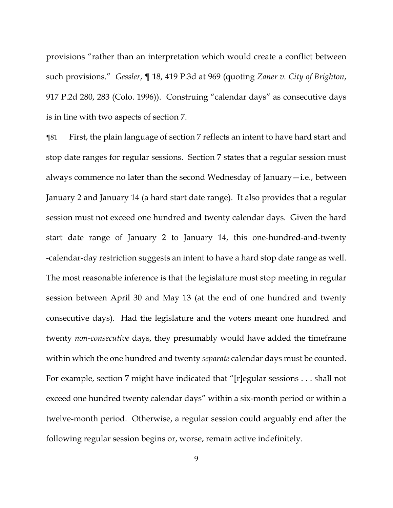provisions "rather than an interpretation which would create a conflict between such provisions." *Gessler*, ¶ 18, 419 P.3d at 969 (quoting *Zaner v. City of Brighton*, 917 P.2d 280, 283 (Colo. 1996)). Construing "calendar days" as consecutive days is in line with two aspects of section 7.

¶81 First, the plain language of section 7 reflects an intent to have hard start and stop date ranges for regular sessions. Section 7 states that a regular session must always commence no later than the second Wednesday of January—i.e., between January 2 and January 14 (a hard start date range). It also provides that a regular session must not exceed one hundred and twenty calendar days. Given the hard start date range of January 2 to January 14, this one-hundred-and-twenty -calendar-day restriction suggests an intent to have a hard stop date range as well. The most reasonable inference is that the legislature must stop meeting in regular session between April 30 and May 13 (at the end of one hundred and twenty consecutive days). Had the legislature and the voters meant one hundred and twenty *non-consecutive* days, they presumably would have added the timeframe within which the one hundred and twenty *separate* calendar days must be counted. For example, section 7 might have indicated that "[r]egular sessions . . . shall not exceed one hundred twenty calendar days" within a six-month period or within a twelve-month period. Otherwise, a regular session could arguably end after the following regular session begins or, worse, remain active indefinitely.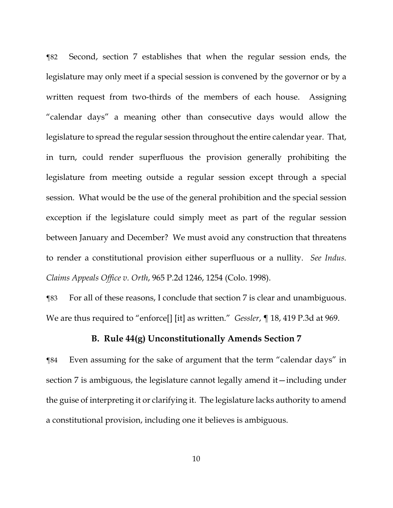¶82 Second, section 7 establishes that when the regular session ends, the legislature may only meet if a special session is convened by the governor or by a written request from two-thirds of the members of each house. Assigning "calendar days" a meaning other than consecutive days would allow the legislature to spread the regular session throughout the entire calendar year. That, in turn, could render superfluous the provision generally prohibiting the legislature from meeting outside a regular session except through a special session. What would be the use of the general prohibition and the special session exception if the legislature could simply meet as part of the regular session between January and December? We must avoid any construction that threatens to render a constitutional provision either superfluous or a nullity. *See Indus. Claims Appeals Office v. Orth*, 965 P.2d 1246, 1254 (Colo. 1998).

¶83 For all of these reasons, I conclude that section 7 is clear and unambiguous. We are thus required to "enforce[] [it] as written." *Gessler*, ¶ 18, 419 P.3d at 969.

#### **B. Rule 44(g) Unconstitutionally Amends Section 7**

¶84 Even assuming for the sake of argument that the term "calendar days" in section 7 is ambiguous, the legislature cannot legally amend it—including under the guise of interpreting it or clarifying it. The legislature lacks authority to amend a constitutional provision, including one it believes is ambiguous.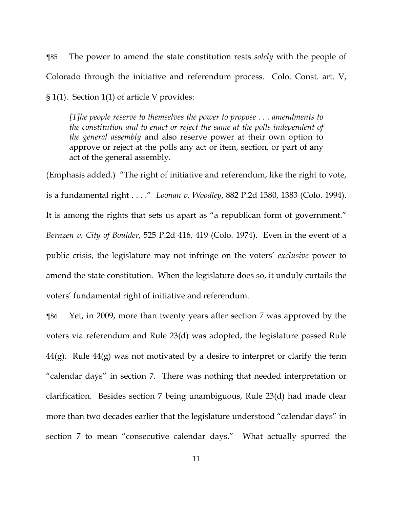¶85 The power to amend the state constitution rests *solely* with the people of Colorado through the initiative and referendum process. Colo. Const. art. V, § 1(1). Section 1(1) of article V provides:

*[T]he people reserve to themselves the power to propose . . . amendments to the constitution and to enact or reject the same at the polls independent of the general assembly* and also reserve power at their own option to approve or reject at the polls any act or item, section, or part of any act of the general assembly.

(Emphasis added.) "The right of initiative and referendum, like the right to vote, is a fundamental right . . . ." *Loonan v. Woodley*, 882 P.2d 1380, 1383 (Colo. 1994). It is among the rights that sets us apart as "a republican form of government." *Bernzen v. City of Boulder*, 525 P.2d 416, 419 (Colo. 1974). Even in the event of a public crisis, the legislature may not infringe on the voters' *exclusive* power to amend the state constitution. When the legislature does so, it unduly curtails the voters' fundamental right of initiative and referendum.

¶86 Yet, in 2009, more than twenty years after section 7 was approved by the voters via referendum and Rule 23(d) was adopted, the legislature passed Rule  $44(g)$ . Rule  $44(g)$  was not motivated by a desire to interpret or clarify the term "calendar days" in section 7. There was nothing that needed interpretation or clarification. Besides section 7 being unambiguous, Rule 23(d) had made clear more than two decades earlier that the legislature understood "calendar days" in section 7 to mean "consecutive calendar days." What actually spurred the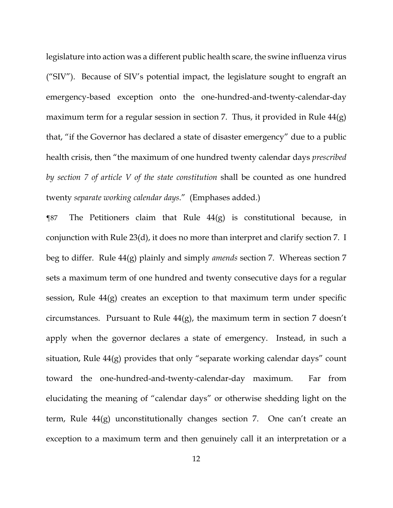legislature into action was a different public health scare, the swine influenza virus ("SIV"). Because of SIV's potential impact, the legislature sought to engraft an emergency-based exception onto the one-hundred-and-twenty-calendar-day maximum term for a regular session in section 7. Thus, it provided in Rule  $44(g)$ that, "if the Governor has declared a state of disaster emergency" due to a public health crisis, then "the maximum of one hundred twenty calendar days *prescribed by section 7 of article V of the state constitution* shall be counted as one hundred twenty *separate working calendar days*." (Emphases added.)

¶87 The Petitioners claim that Rule 44(g) is constitutional because, in conjunction with Rule 23(d), it does no more than interpret and clarify section 7. I beg to differ. Rule 44(g) plainly and simply *amends* section 7. Whereas section 7 sets a maximum term of one hundred and twenty consecutive days for a regular session, Rule 44(g) creates an exception to that maximum term under specific circumstances. Pursuant to Rule 44(g), the maximum term in section 7 doesn't apply when the governor declares a state of emergency. Instead, in such a situation, Rule 44(g) provides that only "separate working calendar days" count toward the one-hundred-and-twenty-calendar-day maximum. Far from elucidating the meaning of "calendar days" or otherwise shedding light on the term, Rule 44(g) unconstitutionally changes section 7. One can't create an exception to a maximum term and then genuinely call it an interpretation or a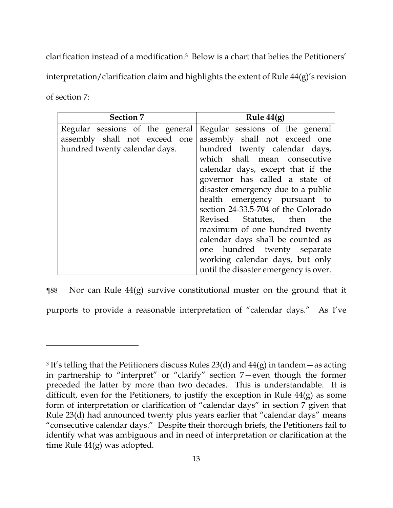clarification instead of a modification.3 Below is a chart that belies the Petitioners' interpretation/clarification claim and highlights the extent of Rule 44(g)'s revision of section 7:

| <b>Section 7</b>                | Rule $44(g)$                          |
|---------------------------------|---------------------------------------|
| Regular sessions of the general | Regular sessions of the general       |
| assembly shall not exceed one   | assembly shall not exceed one         |
| hundred twenty calendar days.   | hundred twenty calendar days,         |
|                                 | which shall mean consecutive          |
|                                 | calendar days, except that if the     |
|                                 | governor has called a state of        |
|                                 | disaster emergency due to a public    |
|                                 | health emergency pursuant to          |
|                                 | section 24-33.5-704 of the Colorado   |
|                                 | Revised Statutes, then<br>the         |
|                                 | maximum of one hundred twenty         |
|                                 | calendar days shall be counted as     |
|                                 | one hundred twenty separate           |
|                                 | working calendar days, but only       |
|                                 | until the disaster emergency is over. |

¶88 Nor can Rule 44(g) survive constitutional muster on the ground that it purports to provide a reasonable interpretation of "calendar days." As I've

<sup>&</sup>lt;sup>3</sup> It's telling that the Petitioners discuss Rules 23(d) and  $44(g)$  in tandem – as acting in partnership to "interpret" or "clarify" section 7—even though the former preceded the latter by more than two decades. This is understandable. It is difficult, even for the Petitioners, to justify the exception in Rule  $44(g)$  as some form of interpretation or clarification of "calendar days" in section 7 given that Rule 23(d) had announced twenty plus years earlier that "calendar days" means "consecutive calendar days." Despite their thorough briefs, the Petitioners fail to identify what was ambiguous and in need of interpretation or clarification at the time Rule 44(g) was adopted.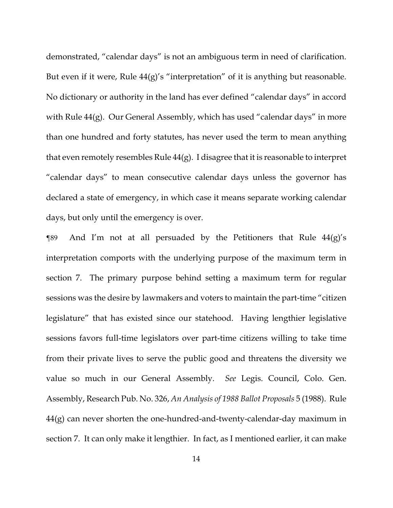demonstrated, "calendar days" is not an ambiguous term in need of clarification. But even if it were, Rule  $44(g)'s$  "interpretation" of it is anything but reasonable. No dictionary or authority in the land has ever defined "calendar days" in accord with Rule 44(g). Our General Assembly, which has used "calendar days" in more than one hundred and forty statutes, has never used the term to mean anything that even remotely resembles Rule 44(g). I disagree that it is reasonable to interpret "calendar days" to mean consecutive calendar days unless the governor has declared a state of emergency, in which case it means separate working calendar days, but only until the emergency is over.

 $\gamma$  and I'm not at all persuaded by the Petitioners that Rule 44(g)'s interpretation comports with the underlying purpose of the maximum term in section 7. The primary purpose behind setting a maximum term for regular sessions was the desire by lawmakers and voters to maintain the part-time "citizen legislature" that has existed since our statehood. Having lengthier legislative sessions favors full-time legislators over part-time citizens willing to take time from their private lives to serve the public good and threatens the diversity we value so much in our General Assembly. *See* Legis. Council, Colo. Gen. Assembly, Research Pub. No. 326, *An Analysis of 1988 Ballot Proposals* 5 (1988). Rule 44(g) can never shorten the one-hundred-and-twenty-calendar-day maximum in section 7. It can only make it lengthier. In fact, as I mentioned earlier, it can make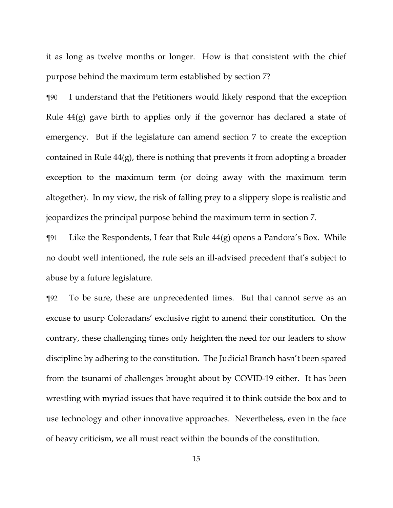it as long as twelve months or longer. How is that consistent with the chief purpose behind the maximum term established by section 7?

¶90 I understand that the Petitioners would likely respond that the exception Rule  $44(g)$  gave birth to applies only if the governor has declared a state of emergency. But if the legislature can amend section 7 to create the exception contained in Rule 44(g), there is nothing that prevents it from adopting a broader exception to the maximum term (or doing away with the maximum term altogether). In my view, the risk of falling prey to a slippery slope is realistic and jeopardizes the principal purpose behind the maximum term in section 7.

 $\gamma$ 91 Like the Respondents, I fear that Rule 44(g) opens a Pandora's Box. While no doubt well intentioned, the rule sets an ill-advised precedent that's subject to abuse by a future legislature.

¶92 To be sure, these are unprecedented times. But that cannot serve as an excuse to usurp Coloradans' exclusive right to amend their constitution. On the contrary, these challenging times only heighten the need for our leaders to show discipline by adhering to the constitution. The Judicial Branch hasn't been spared from the tsunami of challenges brought about by COVID-19 either. It has been wrestling with myriad issues that have required it to think outside the box and to use technology and other innovative approaches. Nevertheless, even in the face of heavy criticism, we all must react within the bounds of the constitution.